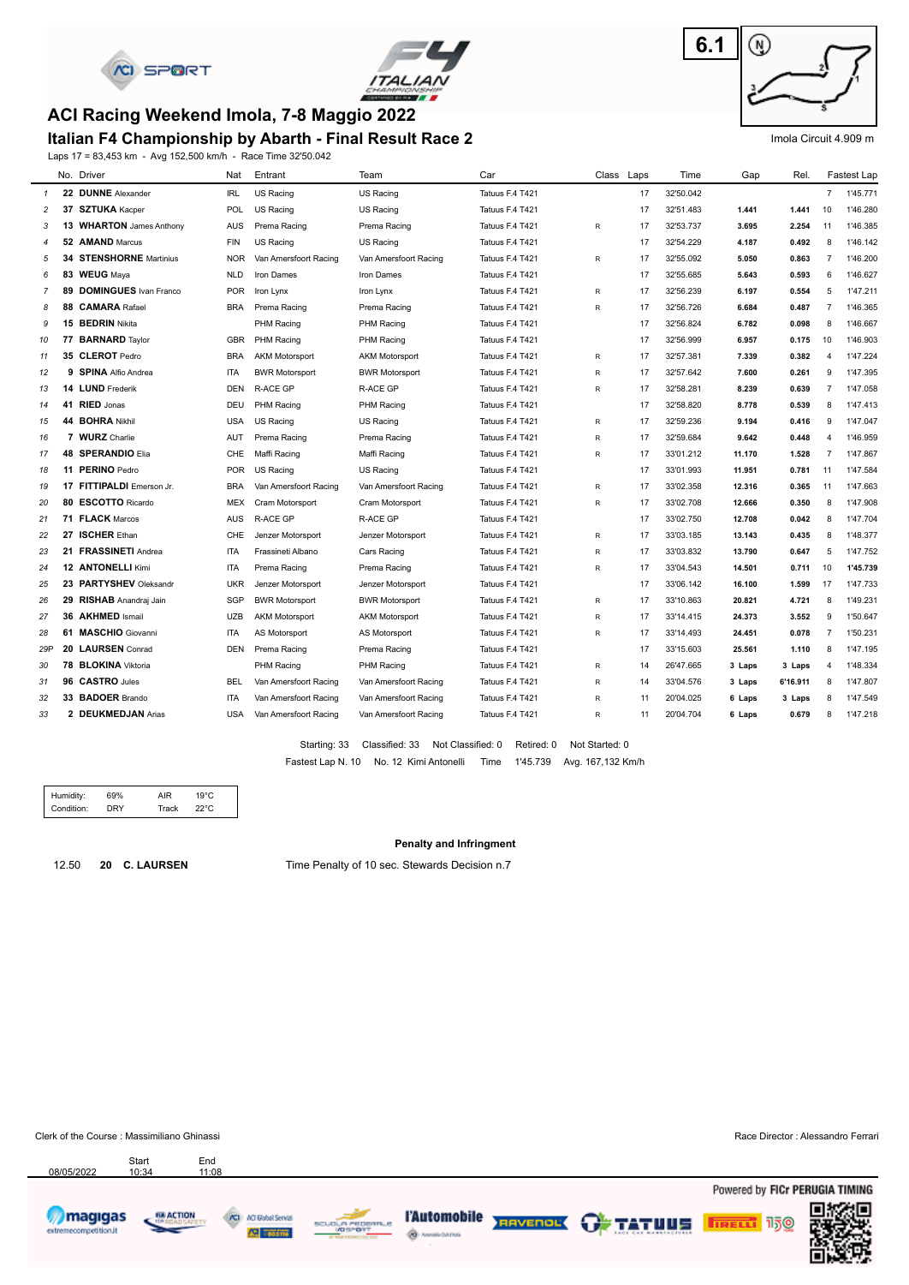



### **ACI Racing Weekend Imola, 7-8 Maggio 2022**

#### **Italian F4 Championship by Abarth - Final Result Race 2**

Laps 17 = 83,453 km - Avg 152,500 km/h - Race Time 32'50.042



#### Imola Circuit 4.909 m

|                |    | No. Driver                     | Nat        | Entrant               | Team                  | Car             | Class Laps   |    | Time      | Gap    | Rel.     |                | <b>Fastest Lap</b> |
|----------------|----|--------------------------------|------------|-----------------------|-----------------------|-----------------|--------------|----|-----------|--------|----------|----------------|--------------------|
| $\mathcal{I}$  |    | 22 DUNNE Alexander             | <b>IRL</b> | <b>US Racing</b>      | US Racing             | Tatuus F.4 T421 |              | 17 | 32'50.042 |        |          | $\overline{7}$ | 1'45.771           |
| 2              |    | 37 SZTUKA Kacper               | POL        | US Racing             | US Racing             | Tatuus F.4 T421 |              | 17 | 32'51.483 | 1.441  | 1.441    | 10             | 1'46.280           |
| 3              |    | 13 WHARTON James Anthony       | <b>AUS</b> | Prema Racing          | Prema Racing          | Tatuus F.4 T421 | R            | 17 | 32'53.737 | 3.695  | 2.254    | 11             | 1'46.385           |
| 4              |    | 52 AMAND Marcus                | <b>FIN</b> | US Racing             | US Racing             | Tatuus F.4 T421 |              | 17 | 32'54.229 | 4.187  | 0.492    | 8              | 1'46.142           |
| 5              |    | <b>34 STENSHORNE Martinius</b> | <b>NOR</b> | Van Amersfoort Racing | Van Amersfoort Racing | Tatuus F.4 T421 | R            | 17 | 32'55.092 | 5.050  | 0.863    | $\overline{7}$ | 1'46,200           |
| 6              | 83 | <b>WEUG</b> Maya               | <b>NLD</b> | Iron Dames            | Iron Dames            | Tatuus F.4 T421 |              | 17 | 32'55.685 | 5.643  | 0.593    | 6              | 1'46.627           |
| $\overline{7}$ | 89 | <b>DOMINGUES</b> Ivan Franco   | <b>POR</b> | Iron Lynx             | Iron Lynx             | Tatuus F.4 T421 | $\mathsf{R}$ | 17 | 32'56.239 | 6.197  | 0.554    | 5              | 1'47.211           |
| 8              | 88 | <b>CAMARA Rafael</b>           | <b>BRA</b> | Prema Racing          | Prema Racing          | Tatuus F.4 T421 | R            | 17 | 32'56.726 | 6.684  | 0.487    | $\overline{7}$ | 1'46.365           |
| 9              |    | 15 BEDRIN Nikita               |            | PHM Racing            | PHM Racing            | Tatuus F.4 T421 |              | 17 | 32'56.824 | 6.782  | 0.098    | 8              | 1'46.667           |
| 10             |    | 77 BARNARD Taylor              | <b>GBR</b> | <b>PHM Racing</b>     | PHM Racing            | Tatuus F.4 T421 |              | 17 | 32'56.999 | 6.957  | 0.175    | 10             | 1'46.903           |
| 11             |    | 35 CLEROT Pedro                | <b>BRA</b> | <b>AKM Motorsport</b> | <b>AKM Motorsport</b> | Tatuus F.4 T421 | R            | 17 | 32'57.381 | 7.339  | 0.382    | $\overline{4}$ | 1'47.224           |
| 12             |    | 9 SPINA Alfio Andrea           | <b>ITA</b> | <b>BWR Motorsport</b> | <b>BWR Motorsport</b> | Tatuus F.4 T421 | R            | 17 | 32'57.642 | 7.600  | 0.261    | 9              | 1'47.395           |
| 13             |    | 14 LUND Frederik               | <b>DEN</b> | <b>R-ACE GP</b>       | R-ACE GP              | Tatuus F.4 T421 | R            | 17 | 32'58.281 | 8.239  | 0.639    | $\overline{7}$ | 1'47.058           |
| 14             |    | 41 RIED Jonas                  | DEU        | PHM Racing            | PHM Racing            | Tatuus F.4 T421 |              | 17 | 32'58.820 | 8.778  | 0.539    | 8              | 1'47.413           |
| 15             |    | 44 BOHRA Nikhil                | <b>USA</b> | US Racing             | US Racing             | Tatuus F.4 T421 | R            | 17 | 32'59.236 | 9.194  | 0.416    | 9              | 1'47.047           |
| 16             |    | 7 WURZ Charlie                 | AUT        | Prema Racing          | Prema Racing          | Tatuus F.4 T421 | R            | 17 | 32'59.684 | 9.642  | 0.448    | $\overline{4}$ | 1'46.959           |
| 17             |    | <b>48 SPERANDIO Elia</b>       | CHE        | Maffi Racing          | Maffi Racing          | Tatuus F.4 T421 | R            | 17 | 33'01.212 | 11.170 | 1.528    | $\overline{7}$ | 1'47.867           |
| 18             |    | 11 PERINO Pedro                | <b>POR</b> | US Racing             | US Racing             | Tatuus F.4 T421 |              | 17 | 33'01.993 | 11.951 | 0.781    | 11             | 1'47.584           |
| 19             |    | 17 FITTIPALDI Emerson Jr.      | <b>BRA</b> | Van Amersfoort Racing | Van Amersfoort Racing | Tatuus F.4 T421 | R            | 17 | 33'02.358 | 12.316 | 0.365    | 11             | 1'47.663           |
| 20             | 80 | <b>ESCOTTO Ricardo</b>         | <b>MEX</b> | Cram Motorsport       | Cram Motorsport       | Tatuus F.4 T421 | R            | 17 | 33'02.708 | 12.666 | 0.350    | 8              | 1'47.908           |
| 21             |    | 71 FLACK Marcos                | <b>AUS</b> | <b>R-ACE GP</b>       | <b>R-ACE GP</b>       | Tatuus F.4 T421 |              | 17 | 33'02.750 | 12.708 | 0.042    | 8              | 1'47.704           |
| 22             |    | 27 ISCHER Ethan                | CHE        | Jenzer Motorsport     | Jenzer Motorsport     | Tatuus F.4 T421 | R            | 17 | 33'03.185 | 13.143 | 0.435    | 8              | 1'48.377           |
| 23             |    | 21 FRASSINETI Andrea           | <b>ITA</b> | Frassineti Albano     | Cars Racing           | Tatuus F.4 T421 | R            | 17 | 33'03.832 | 13.790 | 0.647    | 5              | 1'47.752           |
| 24             |    | <b>12 ANTONELLI Kimi</b>       | <b>ITA</b> | Prema Racing          | Prema Racing          | Tatuus F.4 T421 | R            | 17 | 33'04.543 | 14.501 | 0.711    | 10             | 1'45.739           |
| 25             |    | 23 PARTYSHEV Oleksandr         | <b>UKR</b> | Jenzer Motorsport     | Jenzer Motorsport     | Tatuus F.4 T421 |              | 17 | 33'06.142 | 16.100 | 1.599    | 17             | 1'47.733           |
| 26             |    | 29 RISHAB Anandraj Jain        | <b>SGP</b> | <b>BWR Motorsport</b> | <b>BWR Motorsport</b> | Tatuus F.4 T421 | R            | 17 | 33'10.863 | 20.821 | 4.721    | 8              | 1'49.231           |
| 27             |    | 36 AKHMED Ismail               | <b>UZB</b> | <b>AKM Motorsport</b> | <b>AKM Motorsport</b> | Tatuus F.4 T421 | $\mathsf{R}$ | 17 | 33'14.415 | 24.373 | 3.552    | 9              | 1'50.647           |
| 28             |    | 61 MASCHIO Giovanni            | <b>ITA</b> | AS Motorsport         | AS Motorsport         | Tatuus F.4 T421 | R            | 17 | 33'14.493 | 24.451 | 0.078    | $\overline{7}$ | 1'50.231           |
| 29P            |    | 20 LAURSEN Conrad              | <b>DEN</b> | Prema Racing          | Prema Racing          | Tatuus F.4 T421 |              | 17 | 33'15.603 | 25.561 | 1.110    | 8              | 1'47.195           |
| 30             |    | 78 BLOKINA Viktoria            |            | PHM Racing            | PHM Racing            | Tatuus F.4 T421 | R            | 14 | 26'47.665 | 3 Laps | 3 Laps   | $\overline{4}$ | 1'48.334           |
| 31             |    | 96 CASTRO Jules                | <b>BEL</b> | Van Amersfoort Racing | Van Amersfoort Racing | Tatuus F.4 T421 | $\mathsf{R}$ | 14 | 33'04.576 | 3 Laps | 6'16.911 | 8              | 1'47.807           |
| 32             |    | 33 BADOER Brando               | <b>ITA</b> | Van Amersfoort Racing | Van Amersfoort Racing | Tatuus F.4 T421 | R            | 11 | 20'04.025 | 6 Laps | 3 Laps   | 8              | 1'47.549           |
| 33             |    | 2 DEUKMEDJAN Arias             | USA        | Van Amersfoort Racing | Van Amersfoort Racing | Tatuus F.4 T421 | R            | 11 | 20'04.704 | 6 Laps | 0.679    | 8              | 1'47.218           |
|                |    |                                |            |                       |                       |                 |              |    |           |        |          |                |                    |

Fastest Lap N. 10 No. 12 Kimi Antonelli Time 1'45.739 Avg. 167,132 Km/h Starting: 33 Classified: 33 Not Classified: 0 Retired: 0 Not Started: 0

| Condition:<br>NRY | Track | 22°C |
|-------------------|-------|------|

#### **Penalty and Infringment**

12.50 **20 C. LAURSEN** Time Penalty of 10 sec. Stewards Decision n.7

Clerk of the Course : Massimiliano Ghinassi Race Director : Alessandro Ferrari

08/05/2022





Start End<br>10:34 11:08





**@** Americans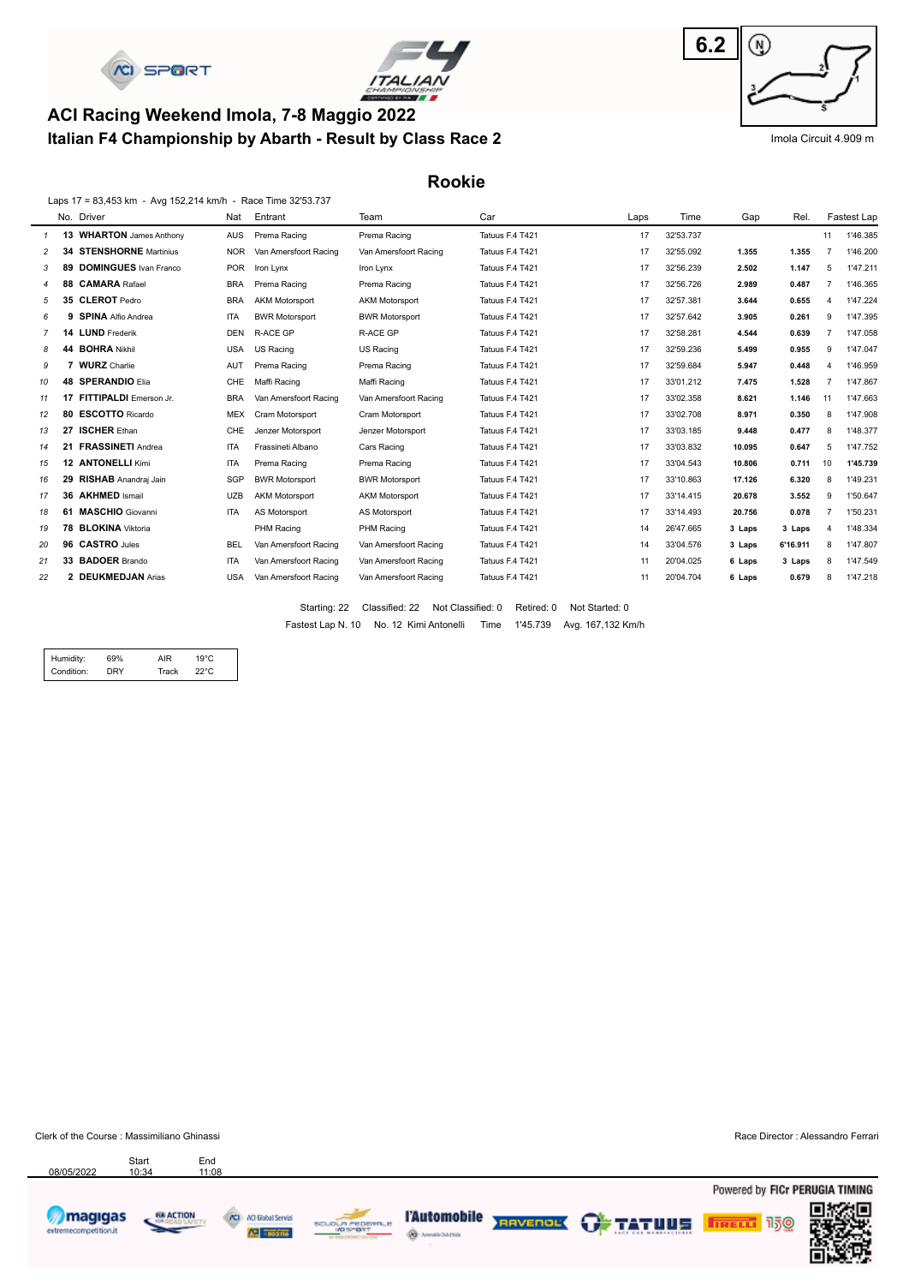



### **Italian F4 Championship by Abarth - Result by Class Race 2 ACI Racing Weekend Imola, 7-8 Maggio 2022**



Imola Circuit 4.909 m

**Rookie**

|    |    | Laps 17 = 83,453 km - Avg 152,214 km/h - Race Time 32'53.737 |            |                       |                       |                 |      |           |        |          |                |             |
|----|----|--------------------------------------------------------------|------------|-----------------------|-----------------------|-----------------|------|-----------|--------|----------|----------------|-------------|
|    |    | No. Driver                                                   | Nat        | Entrant               | Team                  | Car             | Laps | Time      | Gap    | Rel.     |                | Fastest Lap |
|    |    | 13 WHARTON James Anthony                                     | <b>AUS</b> | Prema Racing          | Prema Racing          | Tatuus F.4 T421 | 17   | 32'53.737 |        |          | 11             | 1'46.385    |
| 2  | 34 | <b>STENSHORNE</b> Martinius                                  | <b>NOR</b> | Van Amersfoort Racing | Van Amersfoort Racing | Tatuus F.4 T421 | 17   | 32'55.092 | 1.355  | 1.355    |                | 1'46.200    |
| 3  | 89 | <b>DOMINGUES</b> Ivan Franco                                 | <b>POR</b> | Iron Lynx             | Iron Lynx             | Tatuus F.4 T421 | 17   | 32'56.239 | 2.502  | 1.147    | 5              | 1'47.211    |
| 4  | 88 | <b>CAMARA Rafael</b>                                         | <b>BRA</b> | Prema Racing          | Prema Racing          | Tatuus F.4 T421 | 17   | 32'56.726 | 2.989  | 0.487    | $\overline{7}$ | 1'46.365    |
| 5  |    | 35 CLEROT Pedro                                              | <b>BRA</b> | <b>AKM Motorsport</b> | <b>AKM Motorsport</b> | Tatuus F.4 T421 | 17   | 32'57.381 | 3.644  | 0.655    | 4              | 1'47.224    |
| 6  |    | 9 SPINA Alfio Andrea                                         | <b>ITA</b> | <b>BWR Motorsport</b> | <b>BWR Motorsport</b> | Tatuus F.4 T421 | 17   | 32'57.642 | 3.905  | 0.261    | 9              | 1'47.395    |
|    |    | 14 LUND Frederik                                             | <b>DEN</b> | <b>R-ACE GP</b>       | <b>R-ACE GP</b>       | Tatuus F.4 T421 | 17   | 32'58.281 | 4.544  | 0.639    |                | 1'47.058    |
| 8  |    | 44 BOHRA Nikhil                                              | <b>USA</b> | <b>US Racing</b>      | US Racing             | Tatuus F.4 T421 | 17   | 32'59.236 | 5.499  | 0.955    | 9              | 1'47.047    |
| 9  |    | 7 WURZ Charlie                                               | AUT        | Prema Racing          | Prema Racing          | Tatuus F.4 T421 | 17   | 32'59.684 | 5.947  | 0.448    | 4              | 1'46.959    |
| 10 | 48 | <b>SPERANDIO Elia</b>                                        | CHE        | Maffi Racing          | Maffi Racing          | Tatuus F.4 T421 | 17   | 33'01.212 | 7.475  | 1.528    |                | 1'47.867    |
| 11 | 17 | FITTIPALDI Emerson Jr.                                       | <b>BRA</b> | Van Amersfoort Racing | Van Amersfoort Racing | Tatuus F.4 T421 | 17   | 33'02.358 | 8.621  | 1.146    | 11             | 1'47.663    |
| 12 |    | 80 ESCOTTO Ricardo                                           | <b>MEX</b> | Cram Motorsport       | Cram Motorsport       | Tatuus F.4 T421 | 17   | 33'02.708 | 8.971  | 0.350    | 8              | 1'47.908    |
| 13 | 27 | <b>ISCHER Ethan</b>                                          | CHE        | Jenzer Motorsport     | Jenzer Motorsport     | Tatuus F.4 T421 | 17   | 33'03.185 | 9.448  | 0.477    | 8              | 1'48.377    |
| 14 | 21 | <b>FRASSINETI Andrea</b>                                     | <b>ITA</b> | Frassineti Albano     | Cars Racing           | Tatuus F.4 T421 | 17   | 33'03.832 | 10.095 | 0.647    | 5              | 1'47.752    |
| 15 | 12 | <b>ANTONELLI Kimi</b>                                        | <b>ITA</b> | Prema Racing          | Prema Racing          | Tatuus F.4 T421 | 17   | 33'04.543 | 10.806 | 0.711    | 10             | 1'45.739    |
| 16 | 29 | <b>RISHAB</b> Anandraj Jain                                  | SGP        | <b>BWR Motorsport</b> | <b>BWR Motorsport</b> | Tatuus F.4 T421 | 17   | 33'10.863 | 17.126 | 6.320    | 8              | 1'49.231    |
| 17 | 36 | <b>AKHMED Ismail</b>                                         | <b>UZB</b> | <b>AKM Motorsport</b> | <b>AKM Motorsport</b> | Tatuus F.4 T421 | 17   | 33'14.415 | 20.678 | 3.552    | 9              | 1'50.647    |
| 18 |    | 61 MASCHIO Giovanni                                          | <b>ITA</b> | AS Motorsport         | AS Motorsport         | Tatuus F.4 T421 | 17   | 33'14.493 | 20.756 | 0.078    |                | 1'50.231    |
| 19 |    | 78 BLOKINA Viktoria                                          |            | PHM Racing            | PHM Racing            | Tatuus F.4 T421 | 14   | 26'47.665 | 3 Laps | 3 Laps   | 4              | 1'48.334    |
| 20 |    | 96 CASTRO Jules                                              | <b>BEL</b> | Van Amersfoort Racing | Van Amersfoort Racing | Tatuus F.4 T421 | 14   | 33'04.576 | 3 Laps | 6'16.911 | 8              | 1'47.807    |
| 21 |    | 33 BADOER Brando                                             | <b>ITA</b> | Van Amersfoort Racing | Van Amersfoort Racing | Tatuus F.4 T421 | 11   | 20'04.025 | 6 Laps | 3 Laps   | 8              | 1'47.549    |
| 22 |    | 2 DEUKMEDJAN Arias                                           | <b>USA</b> | Van Amersfoort Racing | Van Amersfoort Racing | Tatuus F.4 T421 | 11   | 20'04.704 | 6 Laps | 0.679    |                | 1'47.218    |

Fastest Lap N. 10 No. 12 Kimi Antonelli Time 1'45.739 Avg. 167,132 Km/h Starting: 22 Classified: 22 Not Classified: 0 Retired: 0 Not Started: 0

| Condition:<br><b>DRY</b><br>Track<br>22°C. | Humidity:<br>69% | AIR | $19^{\circ}$ C |
|--------------------------------------------|------------------|-----|----------------|
|--------------------------------------------|------------------|-----|----------------|

Clerk of the Course : Massimiliano Ghinassi **Race Director : Alessandro Ferrari** Race Director : Alessandro Ferrari

Powered by FICr PERUGIA TIMING



08/05/2022

68 ACTION

Start End<br>10:34 11:08





**@** Americans



**FIRELLY** 150

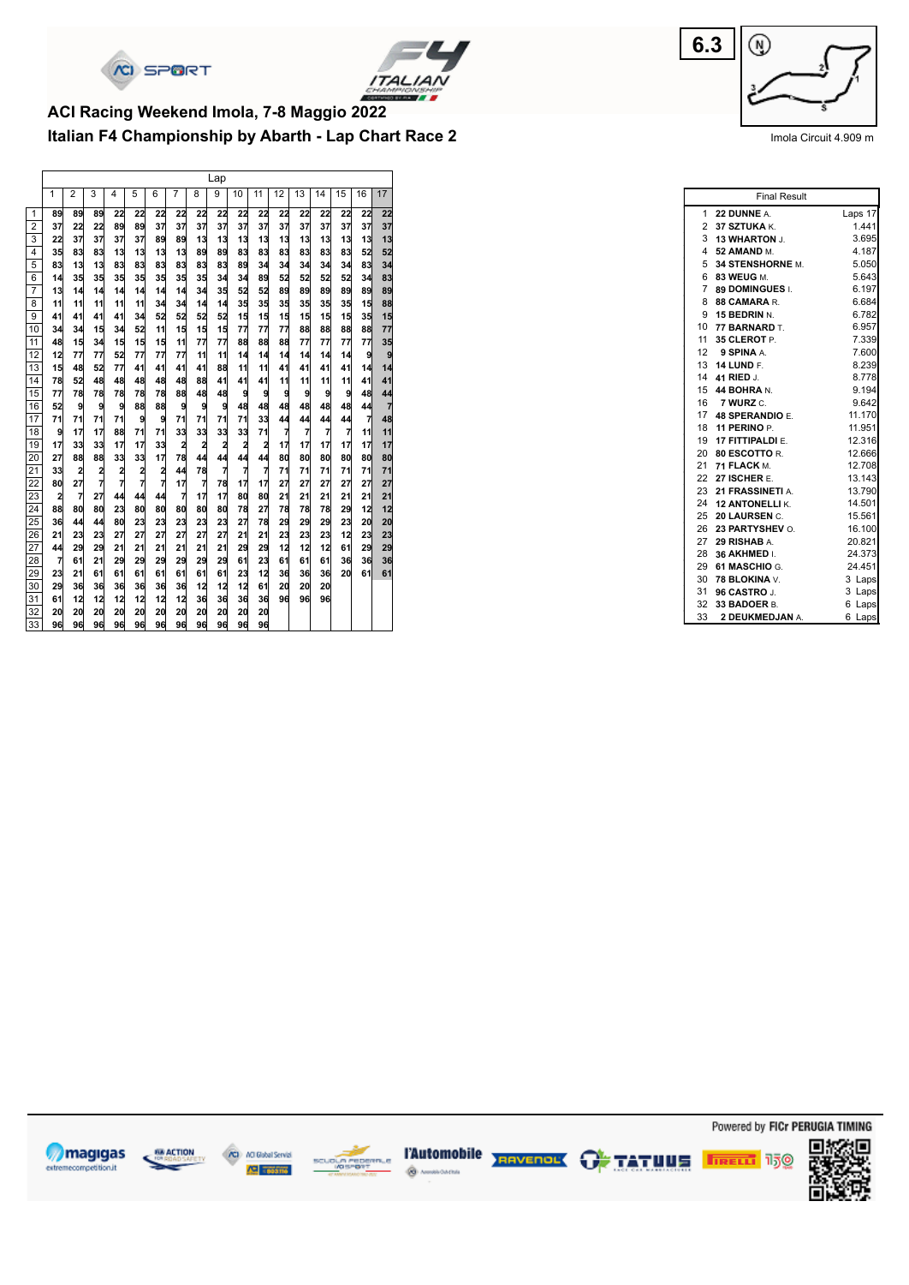



## **Italian F4 Championship by Abarth - Lap Chart Race 2 ACI Racing Weekend Imola, 7-8 Maggio 2022**

|                |                |                         |    |    |                |    |                |    | Lap |                |                |                |                |    |    |                |                |
|----------------|----------------|-------------------------|----|----|----------------|----|----------------|----|-----|----------------|----------------|----------------|----------------|----|----|----------------|----------------|
|                | 1              | $\overline{2}$          | 3  | 4  | 5              | 6  | 7              | 8  | 9   | 10             | 11             | 12             | 13             | 14 | 15 | 16             | 17             |
| 1              | 89             | 89                      | 89 | 22 | 22             | 22 | 22             | 22 | 22  | 22             | 22             | 22             | 22             | 22 | 22 | 22             | 22             |
| $\overline{2}$ | 37             | 22                      | 22 | 89 | 89             | 37 | 37             | 37 | 37  | 37             | 37             | 37             | 37             | 37 | 37 | 37             | 37             |
| 3              | 22             | 37                      | 37 | 37 | 37             | 89 | 89             | 13 | 13  | 13             | 13             | 13             | 13             | 13 | 13 | 13             | 13             |
| 4              | 35             | 83                      | 83 | 13 | 13             | 13 | 13             | 89 | 89  | 83             | 83             | 83             | 83             | 83 | 83 | 52             | 52             |
| 5              | 83             | 13                      | 13 | 83 | 83             | 83 | 83             | 83 | 83  | 89             | 34             | 34             | 34             | 34 | 34 | 83             | 34             |
| 6              | 14             | 35                      | 35 | 35 | 35             | 35 | 35             | 35 | 34  | 34             | 89             | 52             | 52             | 52 | 52 | 34             | 83             |
| $\overline{7}$ | 13             | 14                      | 14 | 14 | 14             | 14 | 14             | 34 | 35  | 52             | 52             | 89             | 89             | 89 | 89 | 89             | 89             |
| 8              | 11             | 11                      | 11 | 11 | 11             | 34 | 34             | 14 | 14  | 35             | 35             | 35             | 35             | 35 | 35 | 15             | 88             |
| 9              | 41             | 41                      | 41 | 41 | 34             | 52 | 52             | 52 | 52  | 15             | 15             | 15             | 15             | 15 | 15 | 35             | 15             |
| 10             | 34             | 34                      | 15 | 34 | 52             | 11 | 15             | 15 | 15  | 77             | 77             | 77             | 88             | 88 | 88 | 88             | 77             |
| 11             | 48             | 15                      | 34 | 15 | 15             | 15 | 11             | 77 | 77  | 88             | 88             | 88             | 77             | 77 | 77 | 77             | 35             |
| 12             | 12             | 77                      | 77 | 52 | 77             | 77 | 77             | 11 | 11  | 14             | 14             | 14             | 14             | 14 | 14 | 9              | 9              |
| 13             | 15             | 48                      | 52 | 77 | 41             | 41 | 41             | 41 | 88  | 11             | 11             | 41             | 41             | 41 | 41 | 14             | 14             |
| 14             | 78             | 52                      | 48 | 48 | 48             | 48 | 48             | 88 | 41  | 41             | 41             | 11             | 11             | 11 | 11 | 41             | 41             |
| 15             | 77             | 78                      | 78 | 78 | 78             | 78 | 88             | 48 | 48  | 9              | 9              | 9              | 9              | 9  | 9  | 48             | 44             |
| 16             | 52             | 9                       | 9  | 9  | 88             | 88 | 9              | 9  | 9   | 48             | 48             | 48             | 48             | 48 | 48 | 44             | $\overline{7}$ |
| 17             | 71             | 71                      | 71 | 71 | 9              | 9  | 71             | 71 | 71  | 71             | 33             | 44             | 44             | 44 | 44 | $\overline{7}$ | 48             |
| 18             | 9              | 17                      | 17 | 88 | 71             | 71 | 33             | 33 | 33  | 33             | 71             | $\overline{7}$ | $\overline{7}$ | 7  | 7  | 11             | 11             |
| 19             | 17             | 33                      | 33 | 17 | 17             | 33 | $\overline{a}$ | 2  | 2   | $\overline{a}$ | $\overline{a}$ | 17             | 17             | 17 | 17 | 17             | 17             |
| 20             | 27             | 88                      | 88 | 33 | 33             | 17 | 78             | 44 | 44  | 44             | 44             | 80             | 80             | 80 | 80 | 80             | 80             |
| 21             | 33             | $\overline{\mathbf{c}}$ | 2  | 2  | 2              | 2  | 44             | 78 | 7   | 7              | 7              | 71             | 71             | 71 | 71 | 71             | 71             |
| 22             | 80             | 27                      | 7  | 7  | $\overline{7}$ | 7  | 17             | 7  | 78  | 17             | 17             | 27             | 27             | 27 | 27 | 27             | 27             |
| 23             | 2              | 7                       | 27 | 44 | 44             | 44 | $\overline{7}$ | 17 | 17  | 80             | 80             | 21             | 21             | 21 | 21 | 21             | 21             |
| 24             | 88             | 80                      | 80 | 23 | 80             | 80 | 80             | 80 | 80  | 78             | 27             | 78             | 78             | 78 | 29 | 12             | 12             |
| 25             | 36             | 44                      | 44 | 80 | 23             | 23 | 23             | 23 | 23  | 27             | 78             | 29             | 29             | 29 | 23 | 20             | 20             |
| 26             | 21             | 23                      | 23 | 27 | 27             | 27 | 27             | 27 | 27  | 21             | 21             | 23             | 23             | 23 | 12 | 23             | 23             |
| 27             | 44             | 29                      | 29 | 21 | 21             | 21 | 21             | 21 | 21  | 29             | 29             | 12             | 12             | 12 | 61 | 29             | 29             |
| 28             | $\overline{7}$ | 61                      | 21 | 29 | 29             | 29 | 29             | 29 | 29  | 61             | 23             | 61             | 61             | 61 | 36 | 36             | 36             |
| 29             | 23             | 21                      | 61 | 61 | 61             | 61 | 61             | 61 | 61  | 23             | 12             | 36             | 36             | 36 | 20 | 61             | 61             |
| 30             | 29             | 36                      | 36 | 36 | 36             | 36 | 36             | 12 | 12  | 12             | 61             | 20             | 20             | 20 |    |                |                |
| 31             | 61             | 12                      | 12 | 12 | 12             | 12 | 12             | 36 | 36  | 36             | 36             | 96             | 96             | 96 |    |                |                |
| 32             | 20             | 20                      | 20 | 20 | 20             | 20 | 20             | 20 | 20  | 20             | 20             |                |                |    |    |                |                |
| 33             | 96             | 96                      | 96 | 96 | 96             | 96 | 96             | 96 | 96  | 96             | 96             |                |                |    |    |                |                |



Imola Circuit 4.909 m

|                 | <b>Final Result</b> |           |
|-----------------|---------------------|-----------|
| $\mathbf{1}$    | 22 DUNNE A.         | Laps 17   |
| 2               | 37 SZTUKA K.        | 1.441     |
| 3               | 13 WHARTON J.       | 3.695     |
| 4               | <b>52 AMAND M.</b>  | 4.187     |
| 5               | 34 STENSHORNE M.    | 5.050     |
| 6               | 83 WEUG M.          | 5.643     |
| $\overline{7}$  | 89 DOMINGUES I.     | 6.197     |
| 8               | 88 CAMARA R.        | 6.684     |
| 9               | <b>15 BEDRIN N.</b> | 6.782     |
|                 | 10 77 BARNARD T.    | 6.957     |
| 11              | 35 CLEROT P.        | 7.339     |
| 12 <sup>2</sup> | 9 SPINA A.          | 7.600     |
|                 | 13 14 LUND F.       | 8.239     |
|                 | 14 41 RIED J.       | 8.778     |
| 15              | 44 BOHRA N.         | 9.194     |
| 16              | 7 WURZ C.           | 9.642     |
| 17 <sup>7</sup> | 48 SPERANDIO F.     | 11.170    |
| 18              | 11 PERINO P.        | 11.951    |
| 19              | 17 FITTIPALDI E.    | 12.316    |
|                 | 20 80 ESCOTTO R.    | 12.666    |
|                 | 21 71 FLACK M.      | 12.708    |
|                 | 22 27 ISCHER E.     | 13.143    |
|                 | 23 21 FRASSINETI A. | 13.790    |
|                 | 24 12 ANTONELLIK.   | 14.501    |
|                 | 25 20 LAURSEN C.    | 15.561    |
| 26              | 23 PARTYSHEV O.     | 16.100    |
| 27              | 29 RISHAB A.        | 20.821    |
| 28              | 36 AKHMED I.        | 24.373    |
| 29              | 61 MASCHIO G.       | 24.451    |
| 30              | 78 BLOKINA V.       | 3 Laps    |
| 31              | 96 CASTRO J.        | Laps<br>3 |
| 32              | 33 BADOER B.        | 6<br>Laps |
| 33              | 2 DEUKMEDJAN A.     | 6<br>Laps |















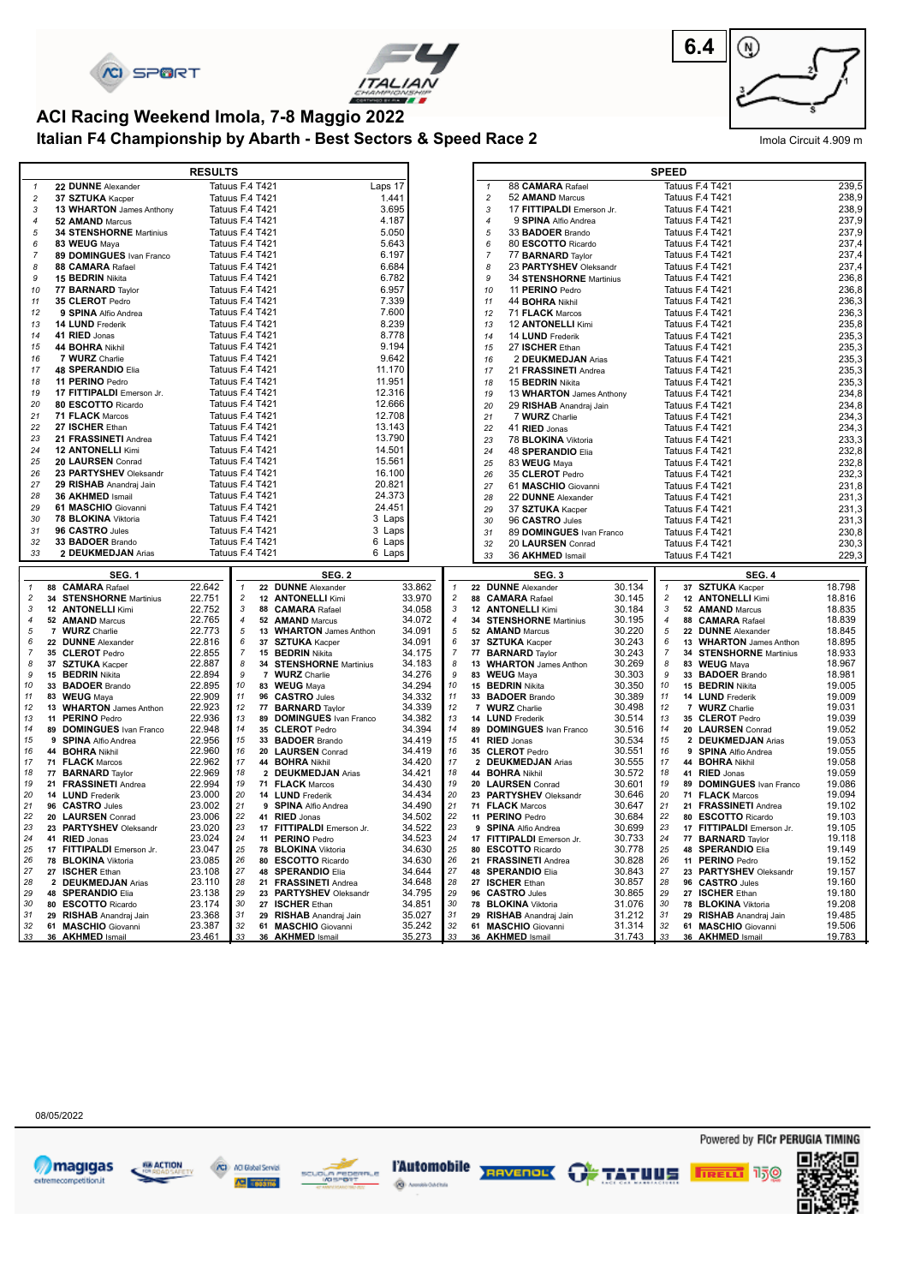





## **ACI Racing Weekend Imola, 7-8 Maggio 2022**

**Italian F4 Championship by Abarth - Best Sectors & Speed Race 2** Imola Circuit 4.909 m

|                     |                                                  | <b>RESULTS</b>   |                                    |    |                                                |                  |                     |                |                                                |                  | <b>SPEED</b>        |                                                    |                  |
|---------------------|--------------------------------------------------|------------------|------------------------------------|----|------------------------------------------------|------------------|---------------------|----------------|------------------------------------------------|------------------|---------------------|----------------------------------------------------|------------------|
| $\mathbf{1}$        | 22 DUNNE Alexander                               |                  | Tatuus F.4 T421                    |    |                                                | Laps 17          |                     | $\mathbf{1}$   | 88 CAMARA Rafael                               |                  |                     | Tatuus F.4 T421                                    | 239,5            |
| $\overline{c}$      | 37 SZTUKA Kacper                                 |                  | Tatuus F.4 T421                    |    |                                                | 1.441            |                     | $\overline{c}$ | 52 AMAND Marcus                                |                  |                     | Tatuus F.4 T421                                    | 238,9            |
| 3                   | 13 WHARTON James Anthony                         |                  | Tatuus F.4 T421                    |    |                                                | 3.695            |                     | $\sqrt{3}$     | 17 FITTIPALDI Emerson Jr.                      |                  |                     | Tatuus F.4 T421                                    | 238,9            |
| $\boldsymbol{4}$    | 52 AMAND Marcus                                  |                  | Tatuus F.4 T421                    |    |                                                | 4.187            |                     | $\overline{4}$ | 9 SPINA Alfio Andrea                           |                  |                     | Tatuus F.4 T421                                    | 237,9            |
| 5                   | 34 STENSHORNE Martinius                          |                  | Tatuus F.4 T421                    |    |                                                | 5.050            |                     | 5              | 33 BADOER Brando                               |                  |                     | Tatuus F.4 T421                                    | 237,9            |
| 6                   | 83 WEUG Mava                                     |                  | Tatuus F.4 T421                    |    |                                                | 5.643            |                     | 6              | 80 ESCOTTO Ricardo                             |                  |                     | Tatuus F.4 T421                                    | 237,4            |
| $\overline{7}$      | 89 DOMINGUES Ivan Franco                         |                  | Tatuus F.4 T421                    |    |                                                | 6.197            |                     | $\overline{7}$ | 77 <b>BARNARD</b> Taylor                       |                  |                     | Tatuus F.4 T421                                    | 237,4            |
| 8                   | 88 CAMARA Rafael                                 |                  | Tatuus F.4 T421                    |    |                                                | 6.684            |                     | 8              | 23 PARTYSHEV Oleksandr                         |                  |                     | Tatuus F.4 T421                                    | 237,4            |
| 9                   | 15 BEDRIN Nikita                                 |                  | Tatuus F.4 T421                    |    |                                                | 6.782            |                     | 9              | 34 STENSHORNE Martinius                        |                  |                     | Tatuus F.4 T421                                    | 236,8            |
| 10                  | 77 <b>BARNARD</b> Taylor                         |                  | Tatuus F.4 T421                    |    |                                                | 6.957            |                     | 10             | 11 PERINO Pedro                                |                  |                     | Tatuus F.4 T421                                    | 236,8            |
| 11                  | 35 CLEROT Pedro                                  |                  | Tatuus F.4 T421                    |    |                                                | 7.339            |                     | 11             | 44 <b>BOHRA</b> Nikhil                         |                  |                     | Tatuus F.4 T421                                    | 236,3            |
| 12                  | 9 SPINA Alfio Andrea                             |                  | Tatuus F.4 T421                    |    |                                                | 7.600            |                     | 12             | 71 FLACK Marcos                                |                  |                     | Tatuus F.4 T421                                    | 236,3            |
| 13                  | 14 LUND Frederik                                 |                  | Tatuus F.4 T421<br>Tatuus F.4 T421 |    |                                                | 8.239            |                     | 13             | 12 ANTONELLI Kimi                              |                  |                     | Tatuus F.4 T421<br>Tatuus F.4 T421                 | 235,8<br>235,3   |
| 14<br>15            | 41 RIED Jonas<br>44 BOHRA Nikhil                 |                  | Tatuus F.4 T421                    |    |                                                | 8.778<br>9.194   |                     | 14<br>15       | 14 LUND Frederik<br>27 ISCHER Ethan            |                  |                     | Tatuus F.4 T421                                    | 235,3            |
| 16                  | 7 WURZ Charlie                                   |                  | Tatuus F.4 T421                    |    |                                                | 9.642            |                     | 16             | 2 DEUKMEDJAN Arias                             |                  |                     | Tatuus F.4 T421                                    | 235,3            |
| 17                  | <b>48 SPERANDIO Elia</b>                         |                  | Tatuus F.4 T421                    |    |                                                | 11.170           |                     | 17             | 21 FRASSINETI Andrea                           |                  |                     | Tatuus F.4 T421                                    | 235,3            |
| 18                  | 11 PERINO Pedro                                  |                  | Tatuus F.4 T421                    |    |                                                | 11.951           |                     | 18             | 15 <b>BEDRIN</b> Nikita                        |                  |                     | Tatuus F.4 T421                                    | 235,3            |
| 19                  | 17 FITTIPALDI Emerson Jr.                        |                  | Tatuus F.4 T421                    |    |                                                | 12.316           |                     | 19             | 13 WHARTON James Anthony                       |                  |                     | Tatuus F.4 T421                                    | 234,8            |
| 20                  | 80 ESCOTTO Ricardo                               |                  | Tatuus F.4 T421                    |    |                                                | 12.666           |                     | 20             | 29 RISHAB Anandraj Jain                        |                  |                     | Tatuus F.4 T421                                    | 234,8            |
| 21                  | 71 FLACK Marcos                                  |                  | Tatuus F.4 T421                    |    |                                                | 12.708           |                     | 21             | 7 WURZ Charlie                                 |                  |                     | Tatuus F.4 T421                                    | 234,3            |
| 22                  | 27 ISCHER Ethan                                  |                  | Tatuus F.4 T421                    |    |                                                | 13.143           |                     | 22             | 41 RIED Jonas                                  |                  |                     | Tatuus F.4 T421                                    | 234,3            |
| 23                  | 21 FRASSINETI Andrea                             |                  | Tatuus F.4 T421                    |    |                                                | 13.790           |                     | 23             | 78 BLOKINA Viktoria                            |                  |                     | Tatuus F.4 T421                                    | 233,3            |
| 24                  | <b>12 ANTONELLI Kimi</b>                         |                  | Tatuus F.4 T421                    |    |                                                | 14.501           |                     | 24             | 48 SPERANDIO Elia                              |                  |                     | Tatuus F.4 T421                                    | 232,8            |
| 25                  | 20 LAURSEN Conrad                                |                  | Tatuus F.4 T421                    |    |                                                | 15.561           |                     | 25             | 83 WEUG Maya                                   |                  |                     | Tatuus F.4 T421                                    | 232,8            |
| 26                  | 23 PARTYSHEV Oleksandr                           |                  | Tatuus F.4 T421                    |    |                                                | 16.100           |                     | 26             | 35 CLEROT Pedro                                |                  |                     | Tatuus F.4 T421                                    | 232,3            |
| 27                  | 29 RISHAB Anandraj Jain                          |                  | Tatuus F.4 T421                    |    |                                                | 20.821           |                     | 27             | 61 MASCHIO Giovanni                            |                  |                     | Tatuus F.4 T421                                    | 231,8            |
| 28                  | 36 AKHMED Ismail                                 |                  | Tatuus F.4 T421                    |    |                                                | 24.373           |                     | 28             | 22 DUNNE Alexander                             |                  |                     | Tatuus F.4 T421                                    | 231,3            |
| 29                  | 61 MASCHIO Giovanni                              |                  | Tatuus F.4 T421                    |    |                                                | 24.451           |                     | 29             | 37 SZTUKA Kacper                               |                  |                     | Tatuus F.4 T421                                    | 231,3            |
| 30                  | 78 BLOKINA Viktoria                              |                  | Tatuus F.4 T421                    |    |                                                | 3 Laps           |                     | 30             | 96 CASTRO Jules                                |                  |                     | Tatuus F.4 T421                                    | 231,3            |
| 31<br>32            | 96 CASTRO Jules<br>33 BADOER Brando              |                  | Tatuus F.4 T421<br>Tatuus F.4 T421 |    |                                                | 3 Laps<br>6 Laps |                     | 31             | 89 DOMINGUES Ivan Franco                       |                  |                     | Tatuus F.4 T421                                    | 230,8            |
|                     |                                                  |                  |                                    |    |                                                |                  |                     | 32             | 20 LAURSEN Conrad                              |                  |                     | Tatuus F.4 T421                                    | 230,3            |
|                     |                                                  |                  |                                    |    |                                                |                  |                     |                |                                                |                  |                     |                                                    |                  |
| 33                  | 2 DEUKMEDJAN Arias                               |                  | Tatuus F.4 T421                    |    |                                                | 6 Laps           |                     | 33             | 36 AKHMED Ismail                               |                  |                     | Tatuus F.4 T421                                    | 229,3            |
|                     | SEG. 1                                           |                  |                                    |    | <b>SEG. 2</b>                                  |                  |                     |                | SEG.3                                          |                  |                     | <b>SEG. 4</b>                                      |                  |
| $\mathbf{1}$        | 88 CAMARA Rafael                                 | 22.642           | $\mathbf{1}$                       |    | 22 DUNNE Alexander                             | 33.862           | $\mathbf{1}$        |                | 22 DUNNE Alexander                             | 30.134           | 1                   | 37 SZTUKA Kacper                                   | 18.798           |
| $\overline{c}$      | 34 STENSHORNE Martinius                          | 22.751           | $\sqrt{2}$                         |    | 12 ANTONELLI Kimi                              | 33.970           | $\overline{c}$      |                | 88 CAMARA Rafael                               | 30.145           | $\sqrt{2}$          | 12 ANTONELLI Kimi                                  | 18.816           |
| $\mathbf{3}$        | 12 ANTONELLI Kimi                                | 22.752           | 3                                  |    | 88 CAMARA Rafael                               | 34.058           | 3                   |                | 12 ANTONELLI Kimi                              | 30.184           | 3                   | 52 AMAND Marcus                                    | 18.835           |
| 4                   | 52 AMAND Marcus                                  | 22.765           | $\pmb{4}$                          |    | 52 AMAND Marcus                                | 34.072           | $\boldsymbol{4}$    |                | 34 STENSHORNE Martinius                        | 30.195           | $\pmb{4}$           | 88 CAMARA Rafael                                   | 18.839           |
| 5                   | 7 WURZ Charlie                                   | 22.773           | 5                                  | 13 | <b>WHARTON</b> James Anthon                    | 34.091           | 5                   |                | 52 AMAND Marcus                                | 30.220           | 5                   | 22 DUNNE Alexander                                 | 18.845           |
| 6<br>$\overline{7}$ | 22 DUNNE Alexander<br>35 CLEROT Pedro            | 22.816<br>22.855 | 6<br>$\overline{7}$                |    | 37 SZTUKA Kacper<br>15 BEDRIN Nikita           | 34.091<br>34.175 | 6<br>$\overline{7}$ |                | 37 SZTUKA Kacper<br>77 BARNARD Taylor          | 30.243<br>30.243 | 6<br>$\overline{7}$ | 13 WHARTON James Anthon<br>34 STENSHORNE Martinius | 18.895<br>18.933 |
| 8                   | 37 SZTUKA Kacper                                 | 22.887           | 8                                  |    | 34 STENSHORNE Martinius                        | 34.183           | 8                   |                | 13 WHARTON James Anthon                        | 30.269           | 8                   | 83 WEUG Maya                                       | 18.967           |
| 9                   | 15 BEDRIN Nikita                                 | 22.894           | 9                                  |    | 7 WURZ Charlie                                 | 34.276           | 9                   |                | 83 WEUG Maya                                   | 30.303           | 9                   | 33 BADOER Brando                                   | 18.981           |
| 10                  | 33 BADOER Brando                                 | 22.895           | 10                                 |    | 83 WEUG Maya                                   | 34.294           | 10                  |                | 15 BEDRIN Nikita                               | 30.350           | 10                  | 15 BEDRIN Nikita                                   | 19.005           |
| 11                  | 83 WEUG Maya                                     | 22.909           | 11                                 |    | 96 CASTRO Jules                                | 34.332           | 11                  |                | 33 BADOER Brando                               | 30.389           | 11                  | 14 LUND Frederik                                   | 19,009           |
| 12                  | 13 WHARTON James Anthon                          | 22.923           | 12                                 |    | 77 BARNARD Taylor                              | 34.339           | 12                  |                | 7 WURZ Charlie                                 | 30.498           | 12                  | 7 WURZ Charlie                                     | 19.031           |
| 13                  | 11 PERINO Pedro                                  | 22.936           | 13                                 |    | 89 DOMINGUES Ivan Franco                       | 34.382           | 13                  |                | 14 LUND Frederik                               | 30.514           | 13                  | 35 CLEROT Pedro                                    | 19.039           |
| 14                  | 89 DOMINGUES Ivan Franco                         | 22.948           | 14                                 |    | 35 CLEROT Pedro                                | 34.394           | 14                  |                | 89 DOMINGUES Ivan Franco                       | 30.516           | 14                  | 20 LAURSEN Conrad                                  | 19.052           |
| 15<br>16            | 9 SPINA Alfio Andrea                             | 22.956<br>22.960 | 15<br>16                           |    | 33 BADOER Brando                               | 34.419<br>34.419 | 15<br>16            |                | 41 RIED Jonas                                  | 30.534           | 15<br>16            | 2 DEUKMEDJAN Arias                                 | 19.053           |
| 17                  | 44 BOHRA Nikhil                                  | 22.962           | 17                                 |    | 20 LAURSEN Conrad                              | 34.420           | 17                  |                | 35 CLEROT Pedro                                | 30.551<br>30.555 | 17                  | 9 SPINA Alfio Andrea                               | 19.055<br>19.058 |
| 18                  | 71 FLACK Marcos<br>77 BARNARD Taylor             | 22.969           | 18                                 |    | 44 BOHRA Nikhil<br>2 DEUKMEDJAN Arias          | 34.421           | 18                  |                | 2 DEUKMEDJAN Arias<br>44 BOHRA Nikhil          | 30.572           | 18                  | 44 BOHRA Nikhil<br>41 RIED Jonas                   | 19.059           |
| 19                  | 21 FRASSINETI Andrea                             | 22.994           | 19                                 |    | 71 FLACK Marcos                                | 34.430           | 19                  |                | 20 LAURSEN Conrad                              | 30.601           | 19                  | 89 DOMINGUES Ivan Franco                           | 19.086           |
| 20                  | 14 LUND Frederik                                 | 23.000           | 20                                 |    | 14 LUND Frederik                               | 34.434           | 20                  |                | 23 PARTYSHEV Oleksandr                         | 30.646           | 20                  | 71 FLACK Marcos                                    | 19.094           |
| 21                  | 96 CASTRO Jules                                  | 23.002           | 21                                 |    | 9 SPINA Alfio Andrea                           | 34.490           | 21                  |                | 71 FLACK Marcos                                | 30.647           | 21                  | 21 FRASSINETI Andrea                               | 19.102           |
| 22                  | 20 LAURSEN Conrad                                | 23.006           | 22                                 |    | 41 RIED Jonas                                  | 34.502           | 22                  |                | 11 PERINO Pedro                                | 30.684           | 22                  | 80 ESCOTTO Ricardo                                 | 19.103           |
| 23                  | 23 PARTYSHEV Oleksandr                           | 23.020           | 23                                 |    | 17 FITTIPALDI Emerson Jr.                      | 34.522           | 23                  |                | 9 SPINA Alfio Andrea                           | 30.699           | 23                  | 17 FITTIPALDI Emerson Jr.                          | 19.105           |
| 24                  | 41 RIED Jonas                                    | 23.024           | 24                                 |    | 11 PERINO Pedro                                | 34.523           | 24                  |                | 17 FITTIPALDI Emerson Jr.                      | 30.733           | 24                  | 77 BARNARD Taylor                                  | 19.118           |
| 25<br>26            | 17 FITTIPALDI Emerson Jr.<br>78 BLOKINA Viktoria | 23.047<br>23.085 | 25<br>26                           |    | 78 BLOKINA Viktoria                            | 34.630<br>34.630 | 25<br>26            |                | 80 ESCOTTO Ricardo<br>21 FRASSINETI Andrea     | 30.778<br>30.828 | 25<br>26            | 48 SPERANDIO Elia<br>11 PERINO Pedro               | 19.149<br>19.152 |
| 27                  | 27 ISCHER Ethan                                  | 23.108           | 27                                 |    | 80 ESCOTTO Ricardo<br>48 SPERANDIO Elia        | 34.644           | 27                  |                | 48 SPERANDIO Elia                              | 30.843           | 27                  | 23 PARTYSHEV Oleksandr                             | 19.157           |
| 28                  | 2 DEUKMEDJAN Arias                               | 23.110           | 28                                 |    | 21 FRASSINETI Andrea                           | 34.648           | 28                  |                | 27 ISCHER Ethan                                | 30.857           | 28                  | 96 CASTRO Jules                                    | 19.160           |
| 29                  | 48 SPERANDIO Elia                                | 23.138           | 29                                 |    | 23 PARTYSHEV Oleksandr                         | 34.795           | 29                  |                | 96 CASTRO Jules                                | 30.865           | 29                  | 27 ISCHER Ethan                                    | 19.180           |
| 30                  | 80 ESCOTTO Ricardo                               | 23.174           | 30                                 |    | 27 ISCHER Ethan                                | 34.851           | 30                  |                | 78 BLOKINA Viktoria                            | 31.076           | 30                  | 78 BLOKINA Viktoria                                | 19.208           |
| 31<br>32            | 29 RISHAB Anandraj Jain<br>61 MASCHIO Giovanni   | 23.368<br>23.387 | 31<br>32                           |    | 29 RISHAB Anandraj Jain<br>61 MASCHIO Giovanni | 35.027<br>35.242 | 31<br>32            |                | 29 RISHAB Anandraj Jain<br>61 MASCHIO Giovanni | 31.212<br>31.314 | 31<br>32            | 29 RISHAB Anandraj Jain<br>61 MASCHIO Giovanni     | 19.485<br>19.506 |

08/05/2022









Powered by FICr PERUGIA TIMING

**FIRELL** 150

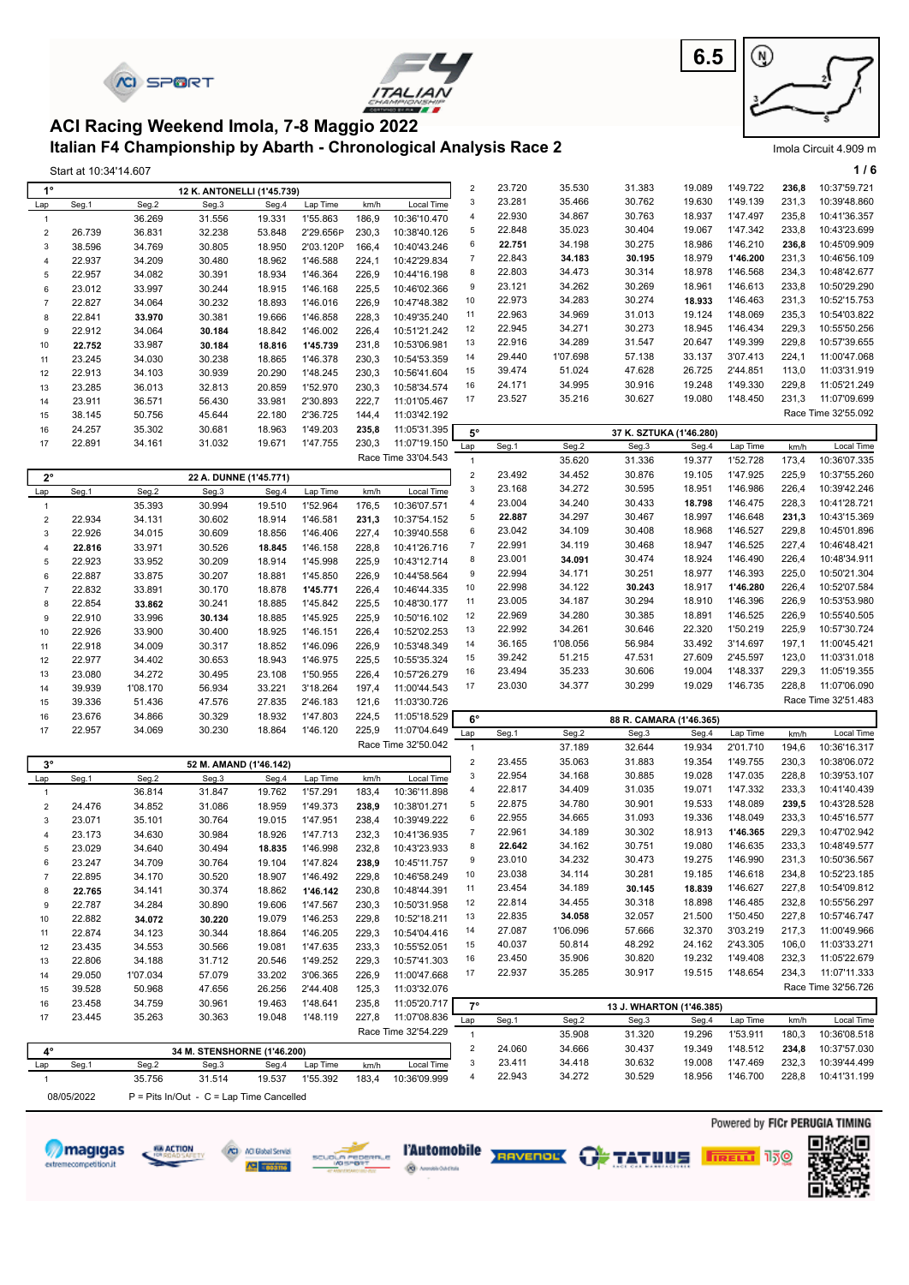|                            |                       | <b><i>KI SPORT</i></b> |                                                                                                                |                  |                        |                |                                     |                             |                  |                    |                                  | 6.5              | ⋓                    |                |                                     |
|----------------------------|-----------------------|------------------------|----------------------------------------------------------------------------------------------------------------|------------------|------------------------|----------------|-------------------------------------|-----------------------------|------------------|--------------------|----------------------------------|------------------|----------------------|----------------|-------------------------------------|
|                            |                       |                        | ACI Racing Weekend Imola, 7-8 Maggio 2022<br>Italian F4 Championship by Abarth - Chronological Analysis Race 2 |                  |                        |                |                                     |                             |                  |                    |                                  |                  |                      |                |                                     |
|                            | Start at 10:34'14.607 |                        |                                                                                                                |                  |                        |                |                                     |                             |                  |                    |                                  |                  |                      |                | Imola Circuit 4.909 m<br>1/6        |
| $1^{\circ}$                |                       |                        | 12 K. ANTONELLI (1'45.739)                                                                                     |                  |                        |                |                                     | $\overline{c}$              | 23.720           | 35.530             | 31.383                           | 19.089           | 1'49.722             | 236,8          | 10:37'59.721                        |
| Lap                        | Seg.1                 | Seg.2                  | Seg.3                                                                                                          | Seg.4            | Lap Time               | km/h           | Local Time                          | 3                           | 23.281           | 35.466             | 30.762                           | 19.630           | 1'49.139             | 231,3          | 10:39'48.860                        |
| $\mathbf{1}$               |                       | 36.269                 | 31.556                                                                                                         | 19.331           | 1'55.863               | 186,9          | 10:36'10.470                        | 4<br>5                      | 22.930<br>22.848 | 34.867<br>35.023   | 30.763<br>30.404                 | 18.937<br>19.067 | 1'47.497<br>1'47.342 | 235,8<br>233,8 | 10:41'36.357<br>10:43'23.699        |
| $\overline{2}$<br>3        | 26.739<br>38.596      | 36.831<br>34.769       | 32.238<br>30.805                                                                                               | 53.848<br>18.950 | 2'29.656P<br>2'03.120P | 230,3<br>166,4 | 10:38'40.126<br>10:40'43.246        | 6                           | 22.751           | 34.198             | 30.275                           | 18.986           | 1'46.210             | 236,8          | 10:45'09.909                        |
| 4                          | 22.937                | 34.209                 | 30.480                                                                                                         | 18.962           | 1'46.588               | 224,1          | 10:42'29.834                        | $\overline{7}$              | 22.843           | 34.183             | 30.195                           | 18.979           | 1'46.200             | 231,3          | 10:46'56.109                        |
| 5                          | 22.957                | 34.082                 | 30.391                                                                                                         | 18.934           | 1'46.364               | 226,9          | 10:44'16.198                        | 8                           | 22.803           | 34.473             | 30.314                           | 18.978           | 1'46.568             | 234,3          | 10:48'42.677                        |
| 6                          | 23.012                | 33.997                 | 30.244                                                                                                         | 18.915           | 1'46.168               | 225,5          | 10:46'02.366                        | 9<br>10                     | 23.121<br>22.973 | 34.262<br>34.283   | 30.269<br>30.274                 | 18.961<br>18.933 | 1'46.613<br>1'46.463 | 233,8<br>231,3 | 10:50'29.290<br>10:52'15.753        |
| $\overline{7}$<br>8        | 22.827<br>22.841      | 34.064<br>33.970       | 30.232<br>30.381                                                                                               | 18.893<br>19.666 | 1'46.016<br>1'46.858   | 226,9<br>228,3 | 10:47'48.382<br>10:49'35.240        | 11                          | 22.963           | 34.969             | 31.013                           | 19.124           | 1'48.069             | 235,3          | 10:54'03.822                        |
| 9                          | 22.912                | 34.064                 | 30.184                                                                                                         | 18.842           | 1'46.002               | 226,4          | 10:51'21.242                        | 12                          | 22.945           | 34.271             | 30.273                           | 18.945           | 1'46.434             | 229,3          | 10:55'50.256                        |
| 10                         | 22.752                | 33.987                 | 30.184                                                                                                         | 18.816           | 1'45.739               | 231,8          | 10:53'06.981                        | 13                          | 22.916           | 34.289             | 31.547                           | 20.647           | 1'49.399             | 229,8          | 10:57'39.655                        |
| 11<br>12                   | 23.245                | 34.030                 | 30.238                                                                                                         | 18.865           | 1'46.378<br>1'48.245   | 230,3<br>230,3 | 10:54'53.359<br>10:56'41.604        | 14<br>15                    | 29.440<br>39.474 | 1'07.698<br>51.024 | 57.138<br>47.628                 | 33.137<br>26.725 | 3'07.413<br>2'44.851 | 224,1<br>113,0 | 11:00'47.068<br>11:03'31.919        |
| 13                         | 22.913<br>23.285      | 34.103<br>36.013       | 30.939<br>32.813                                                                                               | 20.290<br>20.859 | 1'52.970               | 230,3          | 10:58'34.574                        | 16                          | 24.171           | 34.995             | 30.916                           | 19.248           | 1'49.330             | 229,8          | 11:05'21.249                        |
| 14                         | 23.911                | 36.571                 | 56.430                                                                                                         | 33.981           | 2'30.893               | 222,7          | 11:01'05.467                        | 17                          | 23.527           | 35.216             | 30.627                           | 19.080           | 1'48.450             | 231,3          | 11:07'09.699                        |
| 15                         | 38.145                | 50.756                 | 45.644                                                                                                         | 22.180           | 2'36.725               | 144,4          | 11:03'42.192                        |                             |                  |                    |                                  |                  |                      |                | Race Time 32'55.092                 |
| 16                         | 24.257                | 35.302                 | 30.681                                                                                                         | 18.963           | 1'49.203               | 235,8          | 11:05'31.395                        | $5^{\circ}$                 |                  |                    | 37 K. SZTUKA (1'46.280)          |                  |                      |                |                                     |
| 17                         | 22.891                | 34.161                 | 31.032                                                                                                         | 19.671           | 1'47.755               | 230,3          | 11:07'19.150<br>Race Time 33'04.543 | Lap<br>$\mathbf{1}$         | Seg.1            | Seg.2<br>35.620    | Seg.3<br>31.336                  | Seg.4<br>19.377  | Lap Time<br>1'52.728 | km/h<br>173,4  | Local Time<br>10:36'07.335          |
| $2^{\circ}$                |                       |                        | 22 A. DUNNE (1'45.771)                                                                                         |                  |                        |                |                                     | $\mathbf 2$                 | 23.492           | 34.452             | 30.876                           | 19.105           | 1'47.925             | 225,9          | 10:37'55.260                        |
| Lap                        | Seg.1                 | Seg.2                  | Seg.3                                                                                                          | Seg.4            | Lap Time               | km/h           | Local Time                          | $\ensuremath{\mathsf{3}}$   | 23.168           | 34.272             | 30.595                           | 18.951           | 1'46.986             | 226,4          | 10:39'42.246                        |
| $\mathbf{1}$               |                       | 35.393                 | 30.994                                                                                                         | 19.510           | 1'52.964               | 176,5          | 10:36'07.571                        | $\overline{4}$              | 23.004           | 34.240             | 30.433                           | 18.798           | 1'46.475             | 228,3          | 10:41'28.721                        |
| $\overline{2}$             | 22.934                | 34.131                 | 30.602                                                                                                         | 18.914           | 1'46.581               | 231,3          | 10:37'54.152                        | 5                           | 22.887           | 34.297             | 30.467                           | 18.997           | 1'46.648             | 231,3          | 10:43'15.369                        |
| 3                          | 22.926                | 34.015                 | 30.609                                                                                                         | 18.856           | 1'46.406               | 227,4          | 10:39'40.558                        | 6<br>$\overline{7}$         | 23.042<br>22.991 | 34.109<br>34.119   | 30.408<br>30.468                 | 18.968<br>18.947 | 1'46.527<br>1'46.525 | 229,8<br>227,4 | 10:45'01.896<br>10:46'48.421        |
| $\overline{4}$<br>5        | 22.816<br>22.923      | 33.971<br>33.952       | 30.526<br>30.209                                                                                               | 18.845<br>18.914 | 1'46.158<br>1'45.998   | 228,8<br>225,9 | 10:41'26.716<br>10:43'12.714        | 8                           | 23.001           | 34.091             | 30.474                           | 18.924           | 1'46.490             | 226,4          | 10:48'34.911                        |
| 6                          | 22.887                | 33.875                 | 30.207                                                                                                         | 18.881           | 1'45.850               | 226,9          | 10:44'58.564                        | 9                           | 22.994           | 34.171             | 30.251                           | 18.977           | 1'46.393             | 225,0          | 10:50'21.304                        |
| $\overline{7}$             | 22.832                | 33.891                 | 30.170                                                                                                         | 18.878           | 1'45.771               | 226,4          | 10:46'44.335                        | 10                          | 22.998           | 34.122             | 30.243                           | 18.917           | 1'46.280             | 226,4          | 10:52'07.584                        |
| 8                          | 22.854                | 33.862                 | 30.241                                                                                                         | 18.885           | 1'45.842               | 225,5          | 10:48'30.177                        | 11<br>12                    | 23.005<br>22.969 | 34.187<br>34.280   | 30.294<br>30.385                 | 18.910<br>18.891 | 1'46.396<br>1'46.525 | 226,9<br>226,9 | 10:53'53.980<br>10:55'40.505        |
| 9<br>10                    | 22.910<br>22.926      | 33.996<br>33.900       | 30.134<br>30.400                                                                                               | 18.885<br>18.925 | 1'45.925<br>1'46.151   | 225,9<br>226,4 | 10:50'16.102<br>10:52'02.253        | 13                          | 22.992           | 34.261             | 30.646                           | 22.320           | 1'50.219             | 225,9          | 10:57'30.724                        |
| 11                         | 22.918                | 34.009                 | 30.317                                                                                                         | 18.852           | 1'46.096               | 226,9          | 10:53'48.349                        | 14                          | 36.165           | 1'08.056           | 56.984                           | 33.492           | 3'14.697             | 197,1          | 11:00'45.421                        |
| 12                         | 22.977                | 34.402                 | 30.653                                                                                                         | 18.943           | 1'46.975               | 225,5          | 10:55'35.324                        | 15                          | 39.242           | 51.215             | 47.531                           | 27.609           | 2'45.597             | 123,0          | 11:03'31.018                        |
| 13                         | 23.080                | 34.272                 | 30.495                                                                                                         | 23.108           | 1'50.955               | 226,4          | 10:57'26.279                        | 16                          | 23.494           | 35.233             | 30.606                           | 19.004           | 1'48.337             | 229,3          | 11:05'19.355                        |
| 14                         | 39.939                | 1'08.170               | 56.934                                                                                                         | 33.221           | 3'18.264               | 197,4          | 11:00'44.543                        | 17                          | 23.030           | 34.377             | 30.299                           | 19.029           | 1'46.735             | 228,8          | 11:07'06.090<br>Race Time 32'51.483 |
| 15<br>16                   | 39.336<br>23.676      | 51.436<br>34.866       | 47.576<br>30.329                                                                                               | 27.835<br>18.932 | 2'46.183<br>1'47.803   | 121,6<br>224,5 | 11:03'30.726<br>11:05'18.529        | $6^{\circ}$                 |                  |                    |                                  |                  |                      |                |                                     |
| 17                         | 22.957                | 34.069                 | 30.230                                                                                                         | 18.864           | 1'46.120               | 225,9          | 11:07'04.649                        | Lap                         | Seg.1            | Seg.2              | 88 R. CAMARA (1'46.365)<br>Seg.3 | Seg.4            | Lap Time             | km/h           | Local Time                          |
|                            |                       |                        |                                                                                                                |                  |                        |                | Race Time 32'50.042                 | $\mathbf{1}$                |                  | 37.189             | 32.644                           | 19.934           | 2'01.710             | 194,6          | 10:36'16.317                        |
| $3^{\circ}$                |                       |                        | 52 M. AMAND (1'46.142)                                                                                         |                  |                        |                |                                     | $\boldsymbol{2}$            | 23.455           | 35.063             | 31.883                           | 19.354           | 1'49.755             | 230,3          | 10:38'06.072                        |
| Lap                        | Seg.1                 | Seg.2                  | Seg.3                                                                                                          | Seg.4            | Lap Time               | km/h           | Local Time                          | $\ensuremath{\mathsf{3}}$   | 22.954           | 34.168             | 30.885                           | 19.028           | 1'47.035             | 228,8          | 10:39'53.107                        |
| $\mathbf{1}$<br>$\sqrt{2}$ | 24.476                | 36.814<br>34.852       | 31.847<br>31.086                                                                                               | 19.762<br>18.959 | 1'57.291<br>1'49.373   | 183,4<br>238,9 | 10:36'11.898<br>10:38'01.271        | 4<br>5                      | 22.817<br>22.875 | 34.409<br>34.780   | 31.035<br>30.901                 | 19.071<br>19.533 | 1'47.332<br>1'48.089 | 233,3<br>239,5 | 10:41'40.439<br>10:43'28.528        |
| $\mathbf{3}$               | 23.071                | 35.101                 | 30.764                                                                                                         | 19.015           | 1'47.951               | 238,4          | 10:39'49.222                        | 6                           | 22.955           | 34.665             | 31.093                           | 19.336           | 1'48.049             | 233,3          | 10:45'16.577                        |
| $\overline{4}$             | 23.173                | 34.630                 | 30.984                                                                                                         | 18.926           | 1'47.713               | 232,3          | 10:41'36.935                        | $\overline{7}$              | 22.961           | 34.189             | 30.302                           | 18.913           | 1'46.365             | 229,3          | 10:47'02.942                        |
| 5                          | 23.029                | 34.640                 | 30.494                                                                                                         | 18.835           | 1'46.998               | 232,8          | 10:43'23.933                        | 8<br>9                      | 22.642<br>23.010 | 34.162<br>34.232   | 30.751<br>30.473                 | 19.080<br>19.275 | 1'46.635<br>1'46.990 | 233,3<br>231,3 | 10:48'49.577<br>10:50'36.567        |
| 6<br>$\overline{7}$        | 23.247<br>22.895      | 34.709<br>34.170       | 30.764<br>30.520                                                                                               | 19.104<br>18.907 | 1'47.824<br>1'46.492   | 238,9<br>229,8 | 10:45'11.757<br>10:46'58.249        | 10                          | 23.038           | 34.114             | 30.281                           | 19.185           | 1'46.618             | 234,8          | 10:52'23.185                        |
| 8                          | 22.765                | 34.141                 | 30.374                                                                                                         | 18.862           | 1'46.142               | 230,8          | 10:48'44.391                        | 11                          | 23.454           | 34.189             | 30.145                           | 18.839           | 1'46.627             | 227,8          | 10:54'09.812                        |
| 9                          | 22.787                | 34.284                 | 30.890                                                                                                         | 19.606           | 1'47.567               | 230,3          | 10:50'31.958                        | 12                          | 22.814           | 34.455             | 30.318                           | 18.898           | 1'46.485             | 232,8          | 10:55'56.297                        |
| 10                         | 22.882                | 34.072                 | 30.220                                                                                                         | 19.079           | 1'46.253               | 229,8          | 10:52'18.211                        | 13                          | 22.835           | 34.058             | 32.057                           | 21.500           | 1'50.450             | 227,8          | 10:57'46.747                        |
| 11                         | 22.874<br>23.435      | 34.123<br>34.553       | 30.344<br>30.566                                                                                               | 18.864<br>19.081 | 1'46.205<br>1'47.635   | 229,3<br>233,3 | 10:54'04.416<br>10:55'52.051        | 14<br>15                    | 27.087<br>40.037 | 1'06.096<br>50.814 | 57.666<br>48.292                 | 32.370<br>24.162 | 3'03.219<br>2'43.305 | 217,3<br>106,0 | 11:00'49.966<br>11:03'33.271        |
| 12<br>13                   | 22.806                | 34.188                 | 31.712                                                                                                         | 20.546           | 1'49.252               | 229,3          | 10:57'41.303                        | 16                          | 23.450           | 35.906             | 30.820                           | 19.232           | 1'49.408             | 232,3          | 11:05'22.679                        |
| 14                         | 29.050                | 1'07.034               | 57.079                                                                                                         | 33.202           | 3'06.365               | 226,9          | 11:00'47.668                        | 17                          | 22.937           | 35.285             | 30.917                           | 19.515           | 1'48.654             | 234,3          | 11:07'11.333                        |
| 15                         | 39.528                | 50.968                 | 47.656                                                                                                         | 26.256           | 2'44.408               | 125,3          | 11:03'32.076                        |                             |                  |                    |                                  |                  |                      |                | Race Time 32'56.726                 |
| 16                         | 23.458                | 34.759                 | 30.961                                                                                                         | 19.463           | 1'48.641               | 235,8          | 11:05'20.717                        | $7^\circ$                   |                  |                    | 13 J. WHARTON (1'46.385)         |                  |                      |                |                                     |
| 17                         | 23.445                | 35.263                 | 30.363                                                                                                         | 19.048           | 1'48.119               | 227,8          | 11:07'08.836<br>Race Time 32'54.229 | Lap                         | Seg.1            | Seg.2              | Seg.3                            | Seg.4            | Lap Time             | km/h           | Local Time                          |
| 4°                         |                       |                        | 34 M. STENSHORNE (1'46.200)                                                                                    |                  |                        |                |                                     | $\mathbf{1}$<br>$\mathbf 2$ | 24.060           | 35.908<br>34.666   | 31.320<br>30.437                 | 19.296<br>19.349 | 1'53.911<br>1'48.512 | 180,3<br>234,8 | 10:36'08.518<br>10:37'57.030        |
| Lap                        | Seg.1                 | Seg.2                  | Seg.3                                                                                                          | Seg.4            | Lap Time               | km/h           | Local Time                          | $\ensuremath{\mathsf{3}}$   | 23.411           | 34.418             | 30.632                           | 19.008           | 1'47.469             | 232,3          | 10:39'44.499                        |
| $\mathbf{1}$               |                       | 35.756                 | 31.514                                                                                                         | 19.537           | 1'55.392               | 183,4          | 10:36'09.999                        | 4                           | 22.943           | 34.272             | 30.529                           | 18.956           | 1'46.700             | 228,8          | 10:41'31.199                        |
|                            | 08/05/2022            |                        | $P =$ Pits In/Out - C = Lap Time Cancelled                                                                     |                  |                        |                |                                     |                             |                  |                    |                                  |                  |                      |                | Powered by FICr PERUGIA TIMING      |
|                            |                       |                        |                                                                                                                |                  |                        |                |                                     |                             |                  |                    |                                  |                  |                      |                |                                     |









**Experience PAutomobile Engyment OF TATULE FIRELL** 150

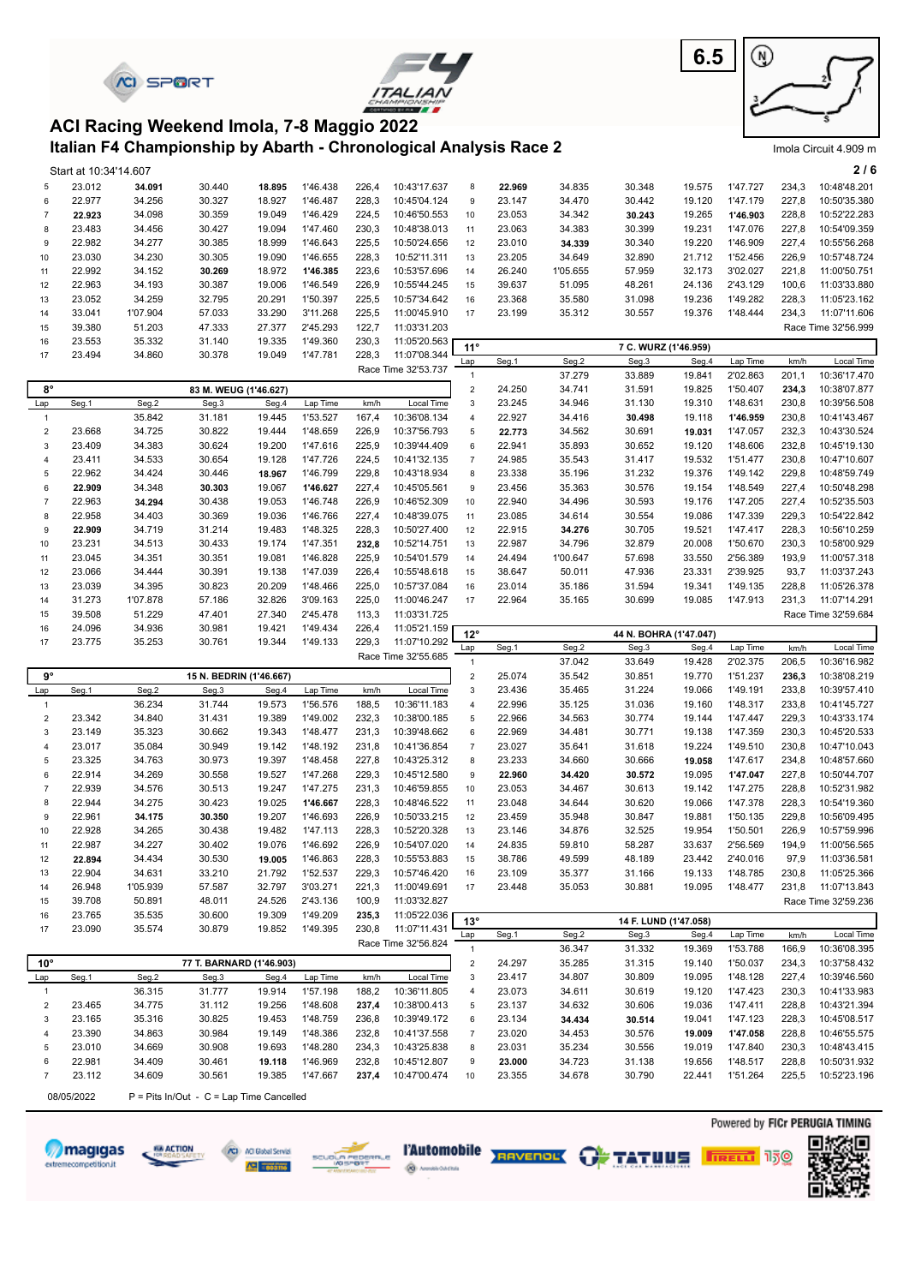|                            |                       | <b><i>KI SPORT</i></b> |                                                                   |                  |                      |                |                              |                                               |                  |                  |                               | 6.5              | ⋓                    |                |                                     |
|----------------------------|-----------------------|------------------------|-------------------------------------------------------------------|------------------|----------------------|----------------|------------------------------|-----------------------------------------------|------------------|------------------|-------------------------------|------------------|----------------------|----------------|-------------------------------------|
|                            |                       |                        | ACI Racing Weekend Imola, 7-8 Maggio 2022                         |                  |                      |                |                              |                                               |                  |                  |                               |                  |                      |                |                                     |
|                            |                       |                        | Italian F4 Championship by Abarth - Chronological Analysis Race 2 |                  |                      |                |                              |                                               |                  |                  |                               |                  |                      |                | Imola Circuit 4.909 m               |
|                            | Start at 10:34'14.607 |                        |                                                                   |                  |                      |                |                              |                                               |                  |                  |                               |                  |                      |                | 216                                 |
| 5                          | 23.012                | 34.091                 | 30.440                                                            | 18.895           | 1'46.438             | 226,4          | 10:43'17.637                 | 8                                             | 22.969           | 34.835           | 30.348                        | 19.575           | 1'47.727             | 234,3          | 10:48'48.201                        |
| 6                          | 22.977                | 34.256                 | 30.327                                                            | 18.927           | 1'46.487             | 228,3          | 10:45'04.124                 | 9                                             | 23.147           | 34.470           | 30.442                        | 19.120           | 1'47.179             | 227,8          | 10:50'35.380                        |
| $\overline{7}$             | 22.923                | 34.098                 | 30.359                                                            | 19.049           | 1'46.429             | 224,5          | 10:46'50.553                 | 10                                            | 23.053           | 34.342           | 30.243                        | 19.265           | 1'46.903             | 228,8          | 10:52'22.283                        |
| 8<br>9                     | 23.483<br>22.982      | 34.456<br>34.277       | 30.427<br>30.385                                                  | 19.094<br>18.999 | 1'47.460<br>1'46.643 | 230,3<br>225,5 | 10:48'38.013<br>10:50'24.656 | 11<br>12                                      | 23.063<br>23.010 | 34.383<br>34.339 | 30.399<br>30.340              | 19.231<br>19.220 | 1'47.076<br>1'46.909 | 227,8<br>227,4 | 10:54'09.359<br>10:55'56.268        |
| 10                         | 23.030                | 34.230                 | 30.305                                                            | 19.090           | 1'46.655             | 228,3          | 10:52'11.311                 | 13                                            | 23.205           | 34.649           | 32.890                        | 21.712           | 1'52.456             | 226,9          | 10:57'48.724                        |
| 11                         | 22.992                | 34.152                 | 30.269                                                            | 18.972           | 1'46.385             | 223,6          | 10:53'57.696                 | 14                                            | 26.240           | 1'05.655         | 57.959                        | 32.173           | 3'02.027             | 221,8          | 11:00'50.751                        |
| 12                         | 22.963                | 34.193                 | 30.387                                                            | 19.006           | 1'46.549             | 226,9          | 10:55'44.245                 | 15                                            | 39.637           | 51.095           | 48.261                        | 24.136           | 2'43.129             | 100,6          | 11:03'33.880                        |
| 13                         | 23.052                | 34.259                 | 32.795                                                            | 20.291           | 1'50.397             | 225,5          | 10:57'34.642                 | 16                                            | 23.368           | 35.580           | 31.098                        | 19.236           | 1'49.282             | 228,3          | 11:05'23.162                        |
| 14<br>15                   | 33.041<br>39.380      | 1'07.904<br>51.203     | 57.033<br>47.333                                                  | 33.290<br>27.377 | 3'11.268<br>2'45.293 | 225,5<br>122,7 | 11:00'45.910<br>11:03'31.203 | 17                                            | 23.199           | 35.312           | 30.557                        | 19.376           | 1'48.444             | 234,3          | 11:07'11.606<br>Race Time 32'56.999 |
| 16                         | 23.553                | 35.332                 | 31.140                                                            | 19.335           | 1'49.360             | 230,3          | 11:05'20.563                 |                                               |                  |                  |                               |                  |                      |                |                                     |
| 17                         | 23.494                | 34.860                 | 30.378                                                            | 19.049           | 1'47.781             | 228,3          | 11:07'08.344                 | $11^{\circ}$<br>Lap                           | Seg.1            | Seg.2            | 7 C. WURZ (1'46.959)<br>Seg.3 | Seg.4            | Lap Time             | km/h           | Local Time                          |
|                            |                       |                        |                                                                   |                  |                      |                | Race Time 32'53.737          | $\mathbf{1}$                                  |                  | 37.279           | 33.889                        | 19.841           | 2'02.863             | 201,1          | 10:36'17.470                        |
| $8^{\circ}$                |                       |                        | 83 M. WEUG (1'46.627)                                             |                  |                      |                |                              | $\sqrt{2}$                                    | 24.250           | 34.741           | 31.591                        | 19.825           | 1'50.407             | 234,3          | 10:38'07.877                        |
| Lap                        | Seg.1                 | Seg.2                  | Seg.3                                                             | Seg.4            | Lap Time             | km/h           | Local Time                   | 3                                             | 23.245           | 34.946           | 31.130                        | 19.310           | 1'48.631             | 230,8          | 10:39'56.508                        |
| $\mathbf{1}$<br>$\sqrt{2}$ | 23.668                | 35.842<br>34.725       | 31.181<br>30.822                                                  | 19.445<br>19.444 | 1'53.527<br>1'48.659 | 167,4<br>226,9 | 10:36'08.134<br>10:37'56.793 | 4<br>5                                        | 22.927           | 34.416<br>34.562 | 30.498<br>30.691              | 19.118           | 1'46.959<br>1'47.057 | 230,8<br>232,3 | 10:41'43.467<br>10:43'30.524        |
| $\mathsf 3$                | 23.409                | 34.383                 | 30.624                                                            | 19.200           | 1'47.616             | 225,9          | 10:39'44.409                 | 6                                             | 22.773<br>22.941 | 35.893           | 30.652                        | 19.031<br>19.120 | 1'48.606             | 232,8          | 10:45'19.130                        |
| $\overline{4}$             | 23.411                | 34.533                 | 30.654                                                            | 19.128           | 1'47.726             | 224,5          | 10:41'32.135                 | $\overline{7}$                                | 24.985           | 35.543           | 31.417                        | 19.532           | 1'51.477             | 230,8          | 10:47'10.607                        |
| 5                          | 22.962                | 34.424                 | 30.446                                                            | 18.967           | 1'46.799             | 229,8          | 10:43'18.934                 | 8                                             | 23.338           | 35.196           | 31.232                        | 19.376           | 1'49.142             | 229,8          | 10:48'59.749                        |
| 6                          | 22.909                | 34.348                 | 30.303                                                            | 19.067           | 1'46.627             | 227,4          | 10:45'05.561                 | 9                                             | 23.456           | 35.363           | 30.576                        | 19.154           | 1'48.549             | 227,4          | 10:50'48.298                        |
| $\overline{7}$<br>8        | 22.963<br>22.958      | 34.294<br>34.403       | 30.438<br>30.369                                                  | 19.053<br>19.036 | 1'46.748<br>1'46.766 | 226,9<br>227,4 | 10:46'52.309<br>10:48'39.075 | 10<br>11                                      | 22.940<br>23.085 | 34.496<br>34.614 | 30.593<br>30.554              | 19.176<br>19.086 | 1'47.205<br>1'47.339 | 227,4<br>229,3 | 10:52'35.503<br>10:54'22.842        |
| 9                          | 22.909                | 34.719                 | 31.214                                                            | 19.483           | 1'48.325             | 228,3          | 10:50'27.400                 | 12                                            | 22.915           | 34.276           | 30.705                        | 19.521           | 1'47.417             | 228,3          | 10:56'10.259                        |
| 10                         | 23.231                | 34.513                 | 30.433                                                            | 19.174           | 1'47.351             | 232,8          | 10:52'14.751                 | 13                                            | 22.987           | 34.796           | 32.879                        | 20.008           | 1'50.670             | 230,3          | 10:58'00.929                        |
| 11                         | 23.045                | 34.351                 | 30.351                                                            | 19.081           | 1'46.828             | 225,9          | 10:54'01.579                 | 14                                            | 24.494           | 1'00.647         | 57.698                        | 33.550           | 2'56.389             | 193,9          | 11:00'57.318                        |
| 12                         | 23.066                | 34.444                 | 30.391                                                            | 19.138           | 1'47.039             | 226,4          | 10:55'48.618                 | 15                                            | 38.647           | 50.011           | 47.936                        | 23.331           | 2'39.925             | 93,7           | 11:03'37.243                        |
| 13<br>14                   | 23.039<br>31.273      | 34.395<br>1'07.878     | 30.823<br>57.186                                                  | 20.209<br>32.826 | 1'48.466<br>3'09.163 | 225,0<br>225,0 | 10:57'37.084<br>11:00'46.247 | 16<br>17                                      | 23.014<br>22.964 | 35.186<br>35.165 | 31.594<br>30.699              | 19.341<br>19.085 | 1'49.135<br>1'47.913 | 228,8<br>231,3 | 11:05'26.378<br>11:07'14.291        |
| 15                         | 39.508                | 51.229                 | 47.401                                                            | 27.340           | 2'45.478             | 113,3          | 11:03'31.725                 |                                               |                  |                  |                               |                  |                      |                | Race Time 32'59.684                 |
| 16                         | 24.096                | 34.936                 | 30.981                                                            | 19.421           | 1'49.434             | 226,4          | 11:05'21.159                 | $12^{\circ}$                                  |                  |                  | 44 N. BOHRA (1'47.047)        |                  |                      |                |                                     |
| 17                         | 23.775                | 35.253                 | 30.761                                                            | 19.344           | 1'49.133             | 229,3          | 11:07'10.292                 | Lap                                           | Seg.1            | Seg.2            | Seg.3                         | Seg.4            | Lap Time             | km/h           | Local Time                          |
|                            |                       |                        |                                                                   |                  |                      |                | Race Time 32'55.685          | $\mathbf{1}$                                  |                  | 37.042           | 33.649                        | 19.428           | 2'02.375             | 206,5          | 10:36'16.982                        |
| $9^{\circ}$                |                       |                        | 15 N. BEDRIN (1'46.667)                                           |                  |                      |                |                              | $\overline{2}$                                | 25.074           | 35.542           | 30.851                        | 19.770           | 1'51.237             | 236,3          | 10:38'08.219                        |
| Lap<br>$\mathbf{1}$        | Seg.1                 | Seg.2<br>36.234        | Seg.3<br>31.744                                                   | Seg.4<br>19.573  | Lap Time<br>1'56.576 | km/h<br>188,5  | Local Time<br>10:36'11.183   | 3<br>$\overline{4}$                           | 23.436<br>22.996 | 35.465<br>35.125 | 31.224<br>31.036              | 19.066<br>19.160 | 1'49.191<br>1'48.317 | 233,8<br>233,8 | 10:39'57.410<br>10:41'45.727        |
| 2                          | 23.342                | 34.840                 | 31.431                                                            | 19.389           | 1'49.002             | 232,3          | 10:38'00.185                 | 5                                             | 22.966           | 34.563           | 30.774                        | 19.144           | 1'47.447             | 229,3          | 10:43'33.174                        |
| 3                          | 23.149                | 35.323                 | 30.662                                                            | 19.343           | 1'48.477             | 231,3          | 10:39'48.662                 | 6                                             | 22.969           | 34.481           | 30.771                        | 19.138           | 1'47.359             | 230,3          | 10:45'20.533                        |
| $\overline{4}$             | 23.017                | 35.084                 | 30.949                                                            | 19.142           | 1'48.192             | 231,8          | 10:41'36.854                 | $\boldsymbol{7}$                              | 23.027           | 35.641           | 31.618                        | 19.224           | 1'49.510             | 230,8          | 10:47'10.043                        |
| 5                          | 23.325                | 34.763                 | 30.973                                                            | 19.397           | 1'48.458             | 227,8          | 10:43'25.312                 | 8                                             | 23.233           | 34.660           | 30.666                        | 19.058           | 1'47.617             | 234,8          | 10:48'57.660                        |
| 6<br>$\boldsymbol{7}$      | 22.914<br>22.939      | 34.269<br>34.576       | 30.558<br>30.513                                                  | 19.527<br>19.247 | 1'47.268<br>1'47.275 | 229,3<br>231,3 | 10:45'12.580<br>10:46'59.855 | 9<br>10                                       | 22.960<br>23.053 | 34.420<br>34.467 | 30.572<br>30.613              | 19.095<br>19.142 | 1'47.047<br>1'47.275 | 227,8<br>228,8 | 10:50'44.707<br>10:52'31.982        |
| 8                          | 22.944                | 34.275                 | 30.423                                                            | 19.025           | 1'46.667             | 228,3          | 10:48'46.522                 | 11                                            | 23.048           | 34.644           | 30.620                        | 19.066           | 1'47.378             | 228,3          | 10:54'19.360                        |
| 9                          | 22.961                | 34.175                 | 30.350                                                            | 19.207           | 1'46.693             | 226,9          | 10:50'33.215                 | 12                                            | 23.459           | 35.948           | 30.847                        | 19.881           | 1'50.135             | 229,8          | 10:56'09.495                        |
| 10                         | 22.928                | 34.265                 | 30.438                                                            | 19.482           | 1'47.113             | 228,3          | 10:52'20.328                 | 13                                            | 23.146           | 34.876           | 32.525                        | 19.954           | 1'50.501             | 226,9          | 10:57'59.996                        |
| 11                         | 22.987                | 34.227                 | 30.402                                                            | 19.076           | 1'46.692             | 226,9          | 10:54'07.020                 | 14                                            | 24.835           | 59.810           | 58.287                        | 33.637           | 2'56.569             | 194,9          | 11:00'56.565                        |
| 12<br>13                   | 22.894<br>22.904      | 34.434<br>34.631       | 30.530<br>33.210                                                  | 19.005<br>21.792 | 1'46.863<br>1'52.537 | 228,3<br>229,3 | 10:55'53.883<br>10:57'46.420 | 15<br>16                                      | 38.786<br>23.109 | 49.599<br>35.377 | 48.189<br>31.166              | 23.442<br>19.133 | 2'40.016<br>1'48.785 | 97,9<br>230,8  | 11:03'36.581<br>11:05'25.366        |
| 14                         | 26.948                | 1'05.939               | 57.587                                                            | 32.797           | 3'03.271             | 221,3          | 11:00'49.691                 | 17                                            | 23.448           | 35.053           | 30.881                        | 19.095           | 1'48.477             | 231,8          | 11:07'13.843                        |
| 15                         | 39.708                | 50.891                 | 48.011                                                            | 24.526           | 2'43.136             | 100,9          | 11:03'32.827                 |                                               |                  |                  |                               |                  |                      |                | Race Time 32'59.236                 |
| 16                         | 23.765                | 35.535                 | 30.600                                                            | 19.309           | 1'49.209             | 235,3          | 11:05'22.036                 | $13^\circ$                                    |                  |                  | 14 F. LUND (1'47.058)         |                  |                      |                |                                     |
| 17                         | 23.090                | 35.574                 | 30.879                                                            | 19.852           | 1'49.395             | 230,8          | 11:07'11.431                 | Lap                                           | Seg.1            | Seg.2            | Seg.3                         | Seg.4            | Lap Time             | km/h           | Local Time                          |
|                            |                       |                        |                                                                   |                  |                      |                | Race Time 32'56.824          | $\mathbf{1}$                                  |                  | 36.347           | 31.332                        | 19.369           | 1'53.788             | 166,9          | 10:36'08.395                        |
| $10^{\circ}$<br>Lap        | Seg.1                 | Seg.2                  | 77 T. BARNARD (1'46.903)<br>Seg.3                                 | Seg.4            | Lap Time             | km/h           | Local Time                   | $\boldsymbol{2}$<br>$\ensuremath{\mathsf{3}}$ | 24.297<br>23.417 | 35.285<br>34.807 | 31.315<br>30.809              | 19.140<br>19.095 | 1'50.037<br>1'48.128 | 234,3<br>227,4 | 10:37'58.432<br>10:39'46.560        |
| $\mathbf{1}$               |                       | 36.315                 | 31.777                                                            | 19.914           | 1'57.198             | 188,2          | 10:36'11.805                 | 4                                             | 23.073           | 34.611           | 30.619                        | 19.120           | 1'47.423             | 230,3          | 10:41'33.983                        |
| $\boldsymbol{2}$           | 23.465                | 34.775                 | 31.112                                                            | 19.256           | 1'48.608             | 237,4          | 10:38'00.413                 | 5                                             | 23.137           | 34.632           | 30.606                        | 19.036           | 1'47.411             | 228,8          | 10:43'21.394                        |
| 3                          | 23.165                | 35.316                 | 30.825                                                            | 19.453           | 1'48.759             | 236,8          | 10:39'49.172                 | 6                                             | 23.134           | 34.434           | 30.514                        | 19.041           | 1'47.123             | 228,3          | 10:45'08.517                        |
| 4                          | 23.390                | 34.863                 | 30.984                                                            | 19.149           | 1'48.386             | 232,8          | 10:41'37.558                 | $\overline{\mathbf{7}}$                       | 23.020           | 34.453           | 30.576                        | 19.009           | 1'47.058             | 228,8          | 10:46'55.575                        |
| 5<br>6                     | 23.010<br>22.981      | 34.669<br>34.409       | 30.908<br>30.461                                                  | 19.693<br>19.118 | 1'48.280<br>1'46.969 | 234,3<br>232,8 | 10:43'25.838<br>10:45'12.807 | 8<br>9                                        | 23.031<br>23.000 | 35.234<br>34.723 | 30.556<br>31.138              | 19.019<br>19.656 | 1'47.840<br>1'48.517 | 230,3<br>228,8 | 10:48'43.415<br>10:50'31.932        |
| $\overline{7}$             | 23.112                | 34.609                 | 30.561                                                            | 19.385           | 1'47.667             | 237,4          | 10:47'00.474                 | 10                                            | 23.355           | 34.678           | 30.790                        | 22.441           | 1'51.264             | 225,5          | 10:52'23.196                        |
|                            | 08/05/2022            |                        | P = Pits In/Out - C = Lap Time Cancelled                          |                  |                      |                |                              |                                               |                  |                  |                               |                  |                      |                |                                     |











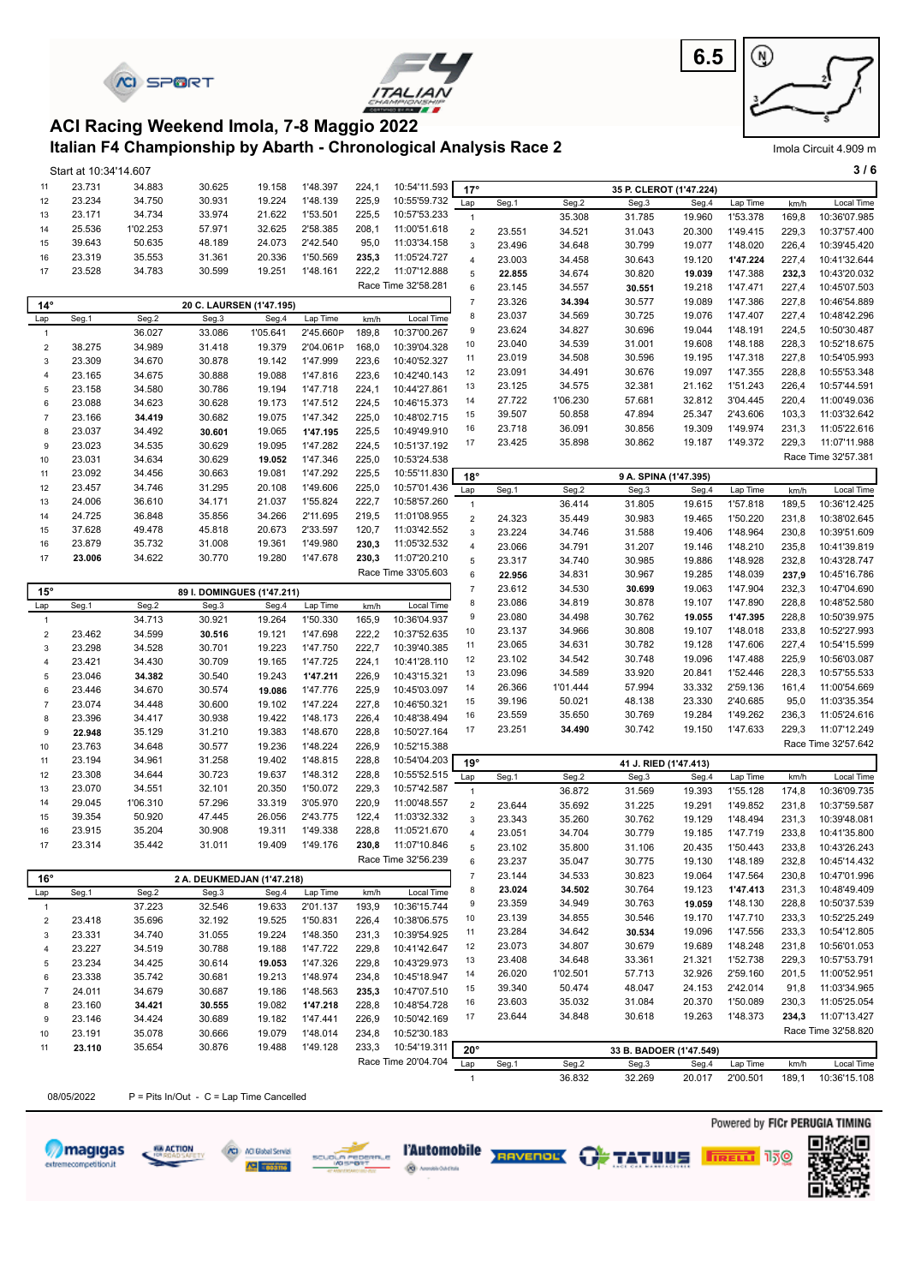

magigas

extremecompetition.it

68 ACTION

/C) //O Global Servizi

**ARE THE R** 





#### **Italian F4 Championship by Abarth - Chronological Analysis Race 2 ACI Racing Weekend Imola, 7-8 Maggio 2022**

|  | Imola Circuit 4.909 m |  |
|--|-----------------------|--|
|  |                       |  |

|                           | Start at 10:34'14.607 |          |                                             |          |           |       |                     |                  |        |          |                         |        |          |       | 3/6                            |
|---------------------------|-----------------------|----------|---------------------------------------------|----------|-----------|-------|---------------------|------------------|--------|----------|-------------------------|--------|----------|-------|--------------------------------|
| 11                        | 23.731                | 34.883   | 30.625                                      | 19.158   | 1'48.397  | 224,1 | 10:54'11.593        | $17^\circ$       |        |          | 35 P. CLEROT (1'47.224) |        |          |       |                                |
| 12                        | 23.234                | 34.750   | 30.931                                      | 19.224   | 1'48.139  | 225,9 | 10:55'59.732        | Lap              | Seg.1  | Seg.2    | Seg.3                   | Seg.4  | Lap Time | km/h  | Local Time                     |
| 13                        | 23.171                | 34.734   | 33.974                                      | 21.622   | 1'53.501  | 225,5 | 10:57'53.233        | $\mathbf{1}$     |        | 35.308   | 31.785                  | 19.960 | 1'53.378 | 169,8 | 10:36'07.985                   |
| 14                        | 25.536                | 1'02.253 | 57.971                                      | 32.625   | 2'58.385  | 208,1 | 11:00'51.618        | $\mathbf 2$      | 23.551 | 34.521   | 31.043                  | 20.300 | 1'49.415 | 229,3 | 10:37'57.400                   |
| 15                        | 39.643                | 50.635   | 48.189                                      | 24.073   | 2'42.540  | 95,0  | 11:03'34.158        | $\mathsf 3$      | 23.496 | 34.648   | 30.799                  | 19.077 | 1'48.020 | 226,4 | 10:39'45.420                   |
| 16                        | 23.319                | 35.553   | 31.361                                      | 20.336   | 1'50.569  | 235,3 | 11:05'24.727        | $\overline{4}$   | 23.003 | 34.458   | 30.643                  | 19.120 | 1'47.224 | 227,4 | 10:41'32.644                   |
| 17                        | 23.528                | 34.783   | 30.599                                      | 19.251   | 1'48.161  | 222,2 | 11:07'12.888        | 5                | 22.855 | 34.674   | 30.820                  | 19.039 | 1'47.388 | 232,3 | 10:43'20.032                   |
|                           |                       |          |                                             |          |           |       | Race Time 32'58.281 | 6                | 23.145 | 34.557   | 30.551                  | 19.218 | 1'47.471 | 227,4 | 10:45'07.503                   |
| $14^\circ$                |                       |          | 20 C. LAURSEN (1'47.195)                    |          |           |       |                     | $\overline{7}$   | 23.326 | 34.394   | 30.577                  | 19.089 | 1'47.386 | 227,8 | 10:46'54.889                   |
| Lap                       | Seg.1                 | Seg.2    | Seg.3                                       | Seg.4    | Lap Time  | km/h  | Local Time          | $\bf 8$          | 23.037 | 34.569   | 30.725                  | 19.076 | 1'47.407 | 227,4 | 10:48'42.296                   |
| $\mathbf{1}$              |                       | 36.027   | 33.086                                      | 1'05.641 | 2'45.660P | 189,8 | 10:37'00.267        | 9                | 23.624 | 34.827   | 30.696                  | 19.044 | 1'48.191 | 224,5 | 10:50'30.487                   |
| $\mathbf 2$               | 38.275                | 34.989   | 31.418                                      | 19.379   | 2'04.061P | 168,0 | 10:39'04.328        | 10               | 23.040 | 34.539   | 31.001                  | 19.608 | 1'48.188 | 228,3 | 10:52'18.675                   |
| $\ensuremath{\mathsf{3}}$ | 23.309                | 34.670   | 30.878                                      | 19.142   | 1'47.999  | 223,6 | 10:40'52.327        | 11               | 23.019 | 34.508   | 30.596                  | 19.195 | 1'47.318 | 227,8 | 10:54'05.993                   |
| 4                         | 23.165                | 34.675   | 30.888                                      | 19.088   | 1'47.816  | 223,6 | 10:42'40.143        | 12               | 23.091 | 34.491   | 30.676                  | 19.097 | 1'47.355 | 228,8 | 10:55'53.348                   |
| 5                         | 23.158                | 34.580   | 30.786                                      | 19.194   | 1'47.718  | 224,1 | 10:44'27.861        | 13               | 23.125 | 34.575   | 32.381                  | 21.162 | 1'51.243 | 226,4 | 10:57'44.591                   |
| 6                         | 23.088                | 34.623   | 30.628                                      | 19.173   | 1'47.512  | 224,5 | 10:46'15.373        | 14               | 27.722 | 1'06.230 | 57.681                  | 32.812 | 3'04.445 | 220,4 | 11:00'49.036                   |
| $\boldsymbol{7}$          | 23.166                | 34.419   | 30.682                                      | 19.075   | 1'47.342  | 225,0 | 10:48'02.715        | 15               | 39.507 | 50.858   | 47.894                  | 25.347 | 2'43.606 | 103,3 | 11:03'32.642                   |
| $\bf8$                    | 23.037                | 34.492   | 30.601                                      | 19.065   | 1'47.195  | 225,5 | 10:49'49.910        | 16               | 23.718 | 36.091   | 30.856                  | 19.309 | 1'49.974 | 231,3 | 11:05'22.616                   |
| 9                         | 23.023                | 34.535   | 30.629                                      | 19.095   | 1'47.282  | 224,5 | 10:51'37.192        | 17               | 23.425 | 35.898   | 30.862                  | 19.187 | 1'49.372 | 229,3 | 11:07'11.988                   |
| 10                        | 23.031                | 34.634   | 30.629                                      | 19.052   | 1'47.346  | 225,0 | 10:53'24.538        |                  |        |          |                         |        |          |       | Race Time 32'57.381            |
| 11                        | 23.092                | 34.456   | 30.663                                      | 19.081   | 1'47.292  | 225,5 | 10:55'11.830        | $18^\circ$       |        |          | 9 A. SPINA (1'47.395)   |        |          |       |                                |
| 12                        | 23.457                | 34.746   | 31.295                                      | 20.108   | 1'49.606  | 225,0 | 10:57'01.436        | Lap              | Seg.1  | Seg.2    | Seg.3                   | Seg.4  | Lap Time | km/h  | Local Time                     |
| 13                        | 24.006                | 36.610   | 34.171                                      | 21.037   | 1'55.824  | 222,7 | 10:58'57.260        | $\mathbf{1}$     |        | 36.414   | 31.805                  | 19.615 | 1'57.818 | 189,5 | 10:36'12.425                   |
| 14                        | 24.725                | 36.848   | 35.856                                      | 34.266   | 2'11.695  | 219,5 | 11:01'08.955        | $\overline{2}$   | 24.323 | 35.449   | 30.983                  | 19.465 | 1'50.220 | 231,8 | 10:38'02.645                   |
| 15                        | 37.628                | 49.478   | 45.818                                      | 20.673   | 2'33.597  | 120,7 | 11:03'42.552        | $\mathbf{3}$     | 23.224 | 34.746   | 31.588                  | 19.406 | 1'48.964 | 230,8 | 10:39'51.609                   |
| 16                        | 23.879                | 35.732   | 31.008                                      | 19.361   | 1'49.980  | 230,3 | 11:05'32.532        | $\overline{4}$   | 23.066 | 34.791   | 31.207                  | 19.146 | 1'48.210 | 235,8 | 10:41'39.819                   |
| 17                        | 23.006                | 34.622   | 30.770                                      | 19.280   | 1'47.678  | 230,3 | 11:07'20.210        | 5                | 23.317 | 34.740   | 30.985                  | 19.886 | 1'48.928 | 232,8 | 10:43'28.747                   |
|                           |                       |          |                                             |          |           |       | Race Time 33'05.603 | 6                | 22.956 | 34.831   | 30.967                  | 19.285 | 1'48.039 | 237,9 | 10:45'16.786                   |
|                           |                       |          |                                             |          |           |       |                     | $\overline{7}$   | 23.612 | 34.530   | 30.699                  | 19.063 | 1'47.904 | 232,3 | 10:47'04.690                   |
| $15^\circ$                | Seg.1                 | Seg.2    | 89 I. DOMINGUES (1'47.211)<br>Seg.3         | Seg.4    | Lap Time  | km/h  | Local Time          | 8                | 23.086 | 34.819   | 30.878                  | 19.107 | 1'47.890 | 228,8 | 10:48'52.580                   |
| Lap<br>$\mathbf{1}$       |                       | 34.713   | 30.921                                      | 19.264   | 1'50.330  | 165,9 | 10:36'04.937        | 9                | 23.080 | 34.498   | 30.762                  | 19.055 | 1'47.395 | 228,8 | 10:50'39.975                   |
| $\boldsymbol{2}$          | 23.462                | 34.599   | 30.516                                      | 19.121   | 1'47.698  | 222,2 | 10:37'52.635        | 10               | 23.137 | 34.966   | 30.808                  | 19.107 | 1'48.018 | 233,8 | 10:52'27.993                   |
| $\ensuremath{\mathsf{3}}$ | 23.298                | 34.528   | 30.701                                      | 19.223   | 1'47.750  | 222,7 | 10:39'40.385        | 11               | 23.065 | 34.631   | 30.782                  | 19.128 | 1'47.606 | 227,4 | 10:54'15.599                   |
| 4                         | 23.421                | 34.430   | 30.709                                      | 19.165   | 1'47.725  | 224,1 | 10:41'28.110        | 12               | 23.102 | 34.542   | 30.748                  | 19.096 | 1'47.488 | 225,9 | 10:56'03.087                   |
| $\mathbf 5$               | 23.046                | 34.382   | 30.540                                      | 19.243   | 1'47.211  | 226,9 | 10:43'15.321        | 13               | 23.096 | 34.589   | 33.920                  | 20.841 | 1'52.446 | 228,3 | 10:57'55.533                   |
| 6                         | 23.446                | 34.670   | 30.574                                      | 19.086   | 1'47.776  | 225,9 | 10:45'03.097        | 14               | 26.366 | 1'01.444 | 57.994                  | 33.332 | 2'59.136 | 161,4 | 11:00'54.669                   |
| $\boldsymbol{7}$          | 23.074                | 34.448   | 30.600                                      | 19.102   | 1'47.224  | 227,8 | 10:46'50.321        | 15               | 39.196 | 50.021   | 48.138                  | 23.330 | 2'40.685 | 95,0  | 11:03'35.354                   |
| $\bf8$                    | 23.396                | 34.417   | 30.938                                      | 19.422   | 1'48.173  | 226,4 | 10:48'38.494        | 16               | 23.559 | 35.650   | 30.769                  | 19.284 | 1'49.262 | 236,3 | 11:05'24.616                   |
| 9                         | 22.948                | 35.129   | 31.210                                      | 19.383   | 1'48.670  | 228,8 | 10:50'27.164        | 17               | 23.251 | 34.490   | 30.742                  | 19.150 | 1'47.633 | 229,3 | 11:07'12.249                   |
| 10                        | 23.763                | 34.648   | 30.577                                      | 19.236   | 1'48.224  | 226,9 | 10:52'15.388        |                  |        |          |                         |        |          |       | Race Time 32'57.642            |
| 11                        | 23.194                | 34.961   | 31.258                                      | 19.402   | 1'48.815  | 228,8 | 10:54'04.203        |                  |        |          |                         |        |          |       |                                |
| 12                        | 23.308                | 34.644   | 30.723                                      | 19.637   | 1'48.312  | 228,8 | 10:55'52.515        | $19^\circ$       |        |          | 41 J. RIED (1'47.413)   |        |          |       |                                |
| 13                        | 23.070                | 34.551   | 32.101                                      | 20.350   | 1'50.072  | 229,3 | 10:57'42.587        | Lap              | Seg.1  | Seg.2    | Seg.3                   | Seg.4  | Lap Time | km/h  | Local Time                     |
| 14                        | 29.045                | 1'06.310 | 57.296                                      | 33.319   | 3'05.970  | 220,9 | 11:00'48.557        | $\overline{1}$   |        | 36.872   | 31.569                  | 19.393 | 1'55.128 | 174,8 | 10:36'09.735                   |
| 15                        | 39.354                | 50.920   | 47.445                                      | 26.056   | 2'43.775  | 122,4 | 11:03'32.332        | $\overline{2}$   | 23.644 | 35.692   | 31.225                  | 19.291 | 1'49.852 | 231,8 | 10:37'59.587                   |
| 16                        | 23.915                | 35.204   | 30.908                                      | 19.311   | 1'49.338  | 228,8 | 11:05'21.670        | $\mathsf 3$      | 23.343 | 35.260   | 30.762                  | 19.129 | 1'48.494 | 231,3 | 10:39'48.081                   |
| 17                        | 23.314                | 35.442   | 31.011                                      | 19.409   | 1'49.176  | 230,8 | 11:07'10.846        | $\overline{4}$   | 23.051 | 34.704   | 30.779                  | 19.185 | 1'47.719 | 233,8 | 10:41'35.800                   |
|                           |                       |          |                                             |          |           |       | Race Time 32'56.239 | 5                | 23.102 | 35.800   | 31.106                  | 20.435 | 1'50.443 | 233,8 | 10:43'26.243                   |
|                           |                       |          |                                             |          |           |       |                     | 6                | 23.237 | 35.047   | 30.775                  | 19.130 | 1'48.189 | 232,8 | 10:45'14.432                   |
| $16^{\circ}$              |                       |          | 2 A. DEUKMEDJAN (1'47.218)                  |          |           |       |                     | $\boldsymbol{7}$ | 23.144 | 34.533   | 30.823                  | 19.064 | 1'47.564 | 230,8 | 10:47'01.996                   |
| Lap                       | Seg.1                 | Seg.2    | Seg.3                                       | Seg.4    | Lap Time  | km/h  | Local Time          | 8                | 23.024 | 34.502   | 30.764                  | 19.123 | 1'47.413 | 231,3 | 10:48'49.409                   |
| $\mathbf{1}$              |                       | 37.223   | 32.546                                      | 19.633   | 2'01.137  | 193,9 | 10:36'15.744        | 9                | 23.359 | 34.949   | 30.763                  | 19.059 | 1'48.130 | 228,8 | 10:50'37.539                   |
| $\boldsymbol{2}$          | 23.418                | 35.696   | 32.192                                      | 19.525   | 1'50.831  | 226,4 | 10:38'06.575        | 10               | 23.139 | 34.855   | 30.546                  | 19.170 | 1'47.710 | 233,3 | 10:52'25.249                   |
| $\ensuremath{\mathsf{3}}$ | 23.331                | 34.740   | 31.055                                      | 19.224   | 1'48.350  | 231,3 | 10:39'54.925        | 11               | 23.284 | 34.642   | 30.534                  | 19.096 | 1'47.556 | 233,3 | 10:54'12.805                   |
| 4                         | 23.227                | 34.519   | 30.788                                      | 19.188   | 1'47.722  | 229,8 | 10:41'42.647        | 12               | 23.073 | 34.807   | 30.679                  | 19.689 | 1'48.248 | 231,8 | 10:56'01.053                   |
| 5                         | 23.234                | 34.425   | 30.614                                      | 19.053   | 1'47.326  | 229,8 | 10:43'29.973        | 13               | 23.408 | 34.648   | 33.361                  | 21.321 | 1'52.738 | 229,3 | 10:57'53.791                   |
| 6                         | 23.338                | 35.742   | 30.681                                      | 19.213   | 1'48.974  | 234,8 | 10:45'18.947        | 14               | 26.020 | 1'02.501 | 57.713                  | 32.926 | 2'59.160 | 201,5 | 11:00'52.951                   |
| $\boldsymbol{7}$          | 24.011                | 34.679   | 30.687                                      | 19.186   | 1'48.563  | 235,3 | 10:47'07.510        | 15               | 39.340 | 50.474   | 48.047                  | 24.153 | 2'42.014 | 91,8  | 11:03'34.965                   |
| 8                         | 23.160                | 34.421   | 30.555                                      | 19.082   | 1'47.218  | 228,8 | 10:48'54.728        | 16               | 23.603 | 35.032   | 31.084                  | 20.370 | 1'50.089 | 230,3 | 11:05'25.054                   |
| 9                         | 23.146                | 34.424   | 30.689                                      | 19.182   | 1'47.441  | 226,9 | 10:50'42.169        | 17               | 23.644 | 34.848   | 30.618                  | 19.263 | 1'48.373 | 234,3 | 11:07'13.427                   |
| 10                        | 23.191                | 35.078   | 30.666                                      | 19.079   | 1'48.014  | 234,8 | 10:52'30.183        |                  |        |          |                         |        |          |       | Race Time 32'58.820            |
| 11                        | 23.110                | 35.654   | 30.876                                      | 19.488   | 1'49.128  | 233,3 | 10:54'19.311        | $20^\circ$       |        |          | 33 B. BADOER (1'47.549) |        |          |       |                                |
|                           |                       |          |                                             |          |           |       | Race Time 20'04.704 | Lap              | Seg.1  | Seg.2    | Seg.3                   | Seg.4  | Lap Time | km/h  | Local Time                     |
|                           |                       |          |                                             |          |           |       |                     | $\mathbf{1}$     |        | 36.832   | 32.269                  | 20.017 | 2'00.501 | 189,1 | 10:36'15.108                   |
|                           | 08/05/2022            |          | $P = P$ its In/Out - C = Lap Time Cancelled |          |           |       |                     |                  |        |          |                         |        |          |       |                                |
|                           |                       |          |                                             |          |           |       |                     |                  |        |          |                         |        |          |       |                                |
|                           |                       |          |                                             |          |           |       |                     |                  |        |          |                         |        |          |       | Powered by FICr PERUGIA TIMING |

**@** *Medication* 

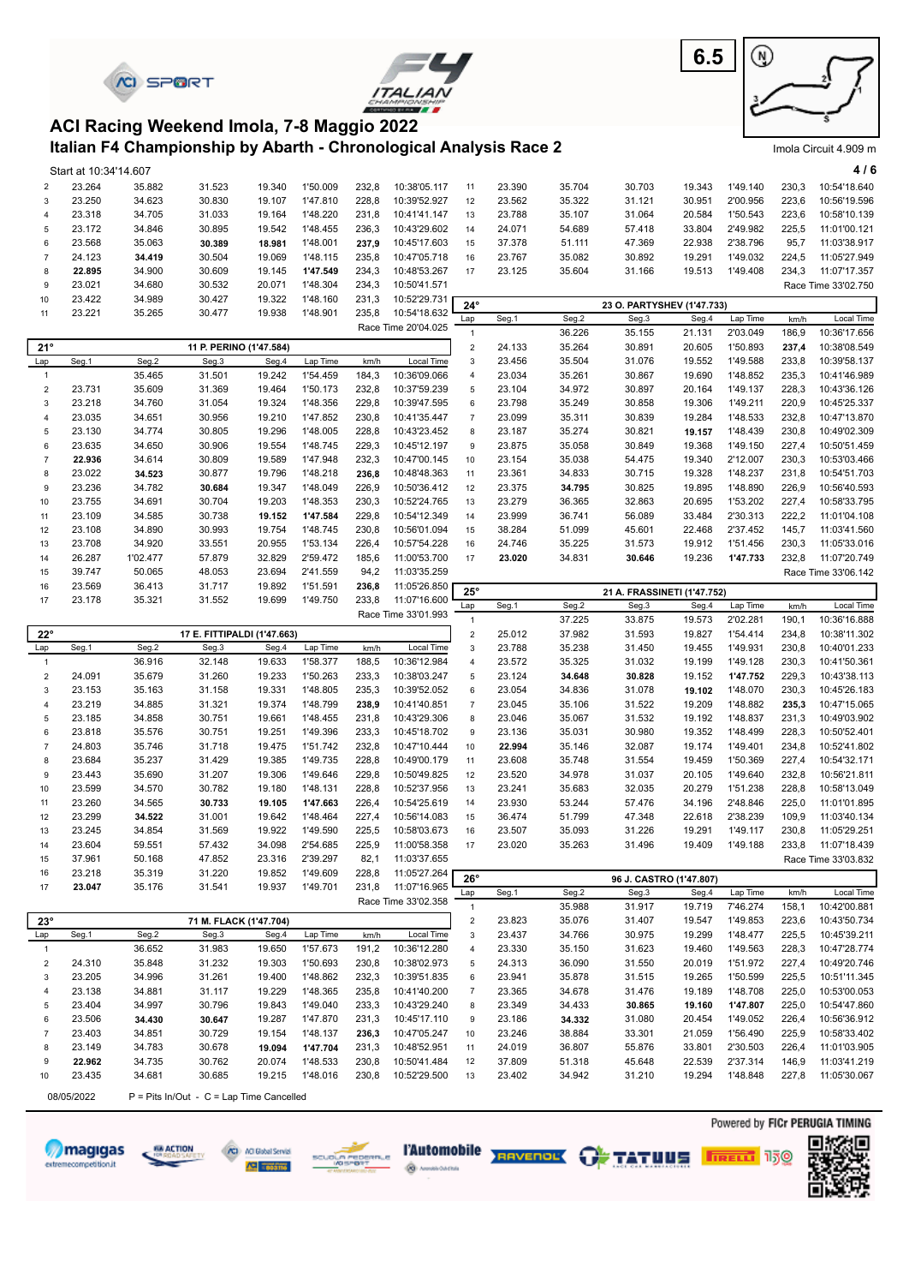



**6.5** ⊛

Imola Circuit 4.909 m

#### **Italian F4 Championship by Abarth - Chronological Analysis Race 2 ACI Racing Weekend Imola, 7-8 Maggio 2022**

|                  | Start at 10:34'14.607 |                  |                                                    |                  |                      |                |                              |                           |        |                 |                                     |                 |          |               | 4/6                 |
|------------------|-----------------------|------------------|----------------------------------------------------|------------------|----------------------|----------------|------------------------------|---------------------------|--------|-----------------|-------------------------------------|-----------------|----------|---------------|---------------------|
| $\overline{2}$   | 23.264                | 35.882           | 31.523                                             | 19.340           | 1'50.009             | 232,8          | 10:38'05.117                 | 11                        | 23.390 | 35.704          | 30.703                              | 19.343          | 1'49.140 | 230,3         | 10:54'18.640        |
| $\mathsf 3$      | 23.250                | 34.623           | 30.830                                             | 19.107           | 1'47.810             | 228,8          | 10:39'52.927                 | 12                        | 23.562 | 35.322          | 31.121                              | 30.951          | 2'00.956 | 223,6         | 10:56'19.596        |
| $\overline{4}$   | 23.318                | 34.705           | 31.033                                             | 19.164           | 1'48.220             | 231,8          | 10:41'41.147                 | 13                        | 23.788 | 35.107          | 31.064                              | 20.584          | 1'50.543 | 223,6         | 10:58'10.139        |
| 5                | 23.172                | 34.846           | 30.895                                             | 19.542           | 1'48.455             | 236,3          | 10:43'29.602                 | 14                        | 24.071 | 54.689          | 57.418                              | 33.804          | 2'49.982 | 225,5         | 11:01'00.121        |
| 6                | 23.568                | 35.063           | 30.389                                             | 18.981           | 1'48.001             | 237,9          | 10:45'17.603                 | 15                        | 37.378 | 51.111          | 47.369                              | 22.938          | 2'38.796 | 95,7          | 11:03'38.917        |
| $\overline{7}$   | 24.123                | 34.419           | 30.504                                             | 19.069           | 1'48.115             | 235,8          | 10:47'05.718                 | 16                        | 23.767 | 35.082          | 30.892                              | 19.291          | 1'49.032 | 224,5         | 11:05'27.949        |
| 8                | 22.895                | 34.900           | 30.609                                             | 19.145           | 1'47.549             | 234,3          | 10:48'53.267                 | 17                        | 23.125 | 35.604          | 31.166                              | 19.513          | 1'49.408 | 234,3         | 11:07'17.357        |
| 9                | 23.021                | 34.680           | 30.532                                             | 20.071           | 1'48.304             | 234,3          | 10:50'41.571                 |                           |        |                 |                                     |                 |          |               | Race Time 33'02.750 |
| 10               | 23.422                | 34.989           | 30.427                                             | 19.322           | 1'48.160             | 231,3          | 10:52'29.731                 |                           |        |                 |                                     |                 |          |               |                     |
| 11               | 23.221                | 35.265           | 30.477                                             | 19.938           | 1'48.901             | 235,8          | 10:54'18.632                 | $24^\circ$<br>Lap         | Seg.1  | Seg.2           | 23 O. PARTYSHEV (1'47.733)<br>Seg.3 | Seg.4           | Lap Time | km/h          | Local Time          |
|                  |                       |                  |                                                    |                  |                      |                | Race Time 20'04.025          | $\mathbf{1}$              |        | 36.226          | 35.155                              | 21.131          | 2'03.049 | 186,9         | 10:36'17.656        |
| $21^{\circ}$     |                       |                  | 11 P. PERINO (1'47.584)                            |                  |                      |                |                              | $\sqrt{2}$                | 24.133 | 35.264          | 30.891                              | 20.605          | 1'50.893 | 237,4         | 10:38'08.549        |
| Lap              | Seg.1                 | Seg.2            | Seg.3                                              | Seg.4            | Lap Time             | km/h           | Local Time                   | $\ensuremath{\mathsf{3}}$ | 23.456 | 35.504          | 31.076                              | 19.552          | 1'49.588 | 233,8         | 10:39'58.137        |
| $\mathbf{1}$     |                       | 35.465           | 31.501                                             | 19.242           | 1'54.459             | 184,3          | 10:36'09.066                 | $\overline{4}$            | 23.034 | 35.261          | 30.867                              | 19.690          | 1'48.852 | 235,3         | 10:41'46.989        |
| $\boldsymbol{2}$ | 23.731                | 35.609           | 31.369                                             | 19.464           | 1'50.173             | 232,8          | 10:37'59.239                 | $\,$ 5 $\,$               | 23.104 | 34.972          | 30.897                              | 20.164          | 1'49.137 | 228,3         | 10:43'36.126        |
| 3                | 23.218                | 34.760           | 31.054                                             | 19.324           | 1'48.356             | 229,8          | 10:39'47.595                 | $\boldsymbol{6}$          | 23.798 | 35.249          | 30.858                              | 19.306          | 1'49.211 | 220,9         | 10:45'25.337        |
| $\overline{4}$   | 23.035                | 34.651           | 30.956                                             | 19.210           | 1'47.852             | 230,8          | 10:41'35.447                 | $\boldsymbol{7}$          | 23.099 | 35.311          | 30.839                              | 19.284          | 1'48.533 | 232,8         | 10:47'13.870        |
| 5                | 23.130                | 34.774           | 30.805                                             | 19.296           | 1'48.005             | 228,8          | 10:43'23.452                 | $\bf 8$                   | 23.187 | 35.274          | 30.821                              | 19.157          | 1'48.439 | 230,8         | 10:49'02.309        |
| 6                | 23.635                | 34.650           | 30.906                                             | 19.554           | 1'48.745             | 229,3          | 10:45'12.197                 | 9                         | 23.875 | 35.058          | 30.849                              | 19.368          | 1'49.150 | 227,4         | 10:50'51.459        |
| $\overline{7}$   | 22.936                | 34.614           | 30.809                                             | 19.589           | 1'47.948             | 232,3          | 10:47'00.145                 | 10                        | 23.154 | 35.038          | 54.475                              | 19.340          | 2'12.007 | 230,3         | 10:53'03.466        |
| 8                | 23.022                | 34.523           | 30.877                                             | 19.796           | 1'48.218             | 236,8          | 10:48'48.363                 | 11                        | 23.361 | 34.833          | 30.715                              | 19.328          | 1'48.237 | 231,8         | 10:54'51.703        |
| 9                | 23.236                | 34.782           | 30.684                                             | 19.347           | 1'48.049             | 226,9          | 10:50'36.412                 | 12                        | 23.375 | 34.795          | 30.825                              | 19.895          | 1'48.890 | 226,9         | 10:56'40.593        |
| 10               | 23.755                | 34.691           | 30.704                                             | 19.203           | 1'48.353             | 230,3          | 10:52'24.765                 | 13                        | 23.279 | 36.365          | 32.863                              | 20.695          | 1'53.202 | 227,4         | 10:58'33.795        |
| 11               | 23.109                | 34.585           | 30.738                                             | 19.152           | 1'47.584             | 229,8          | 10:54'12.349                 | 14                        | 23.999 | 36.741          | 56.089                              | 33.484          | 2'30.313 | 222,2         | 11:01'04.108        |
| 12               | 23.108                | 34.890           | 30.993                                             | 19.754           | 1'48.745             | 230,8          | 10:56'01.094                 | 15                        | 38.284 | 51.099          | 45.601                              | 22.468          | 2'37.452 | 145,7         | 11:03'41.560        |
| 13               | 23.708                | 34.920           | 33.551                                             | 20.955           | 1'53.134             | 226,4          | 10:57'54.228                 | 16                        | 24.746 | 35.225          | 31.573                              | 19.912          | 1'51.456 | 230,3         | 11:05'33.016        |
| 14               | 26.287                | 1'02.477         | 57.879                                             | 32.829           | 2'59.472             | 185,6          | 11:00'53.700                 | 17                        | 23.020 | 34.831          | 30.646                              | 19.236          | 1'47.733 | 232,8         | 11:07'20.749        |
| 15               | 39.747                | 50.065           | 48.053                                             | 23.694           | 2'41.559             | 94,2           | 11:03'35.259                 |                           |        |                 |                                     |                 |          |               | Race Time 33'06.142 |
| 16               | 23.569                | 36.413           | 31.717                                             | 19.892           | 1'51.591             | 236,8          | 11:05'26.850                 |                           |        |                 |                                     |                 |          |               |                     |
| 17               | 23.178                | 35.321           | 31.552                                             | 19.699           | 1'49.750             | 233,8          | 11:07'16.600                 | $25^\circ$                |        |                 | 21 A. FRASSINETI (1'47.752)         |                 | Lap Time |               | Local Time          |
|                  |                       |                  |                                                    |                  |                      |                | Race Time 33'01.993          | Lap<br>$\mathbf{1}$       | Seg.1  | Seg.2<br>37.225 | Seg.3<br>33.875                     | Seg.4<br>19.573 | 2'02.281 | km/h<br>190,1 | 10:36'16.888        |
| $22^{\circ}$     |                       |                  |                                                    |                  |                      |                |                              |                           |        |                 |                                     |                 |          |               |                     |
|                  |                       |                  |                                                    |                  |                      |                |                              |                           |        |                 |                                     |                 |          |               |                     |
|                  |                       |                  | 17 E. FITTIPALDI (1'47.663)                        |                  |                      |                |                              | $\mathbf 2$               | 25.012 | 37.982          | 31.593                              | 19.827          | 1'54.414 | 234,8         | 10:38'11.302        |
| Lap              | Seg.1                 | Seg.2            | Seg.3                                              | Seg.4            | Lap Time             | km/h           | Local Time                   | 3                         | 23.788 | 35.238          | 31.450                              | 19.455          | 1'49.931 | 230,8         | 10:40'01.233        |
| $\mathbf{1}$     |                       | 36.916           | 32.148                                             | 19.633           | 1'58.377             | 188,5          | 10:36'12.984                 | $\sqrt{4}$                | 23.572 | 35.325          | 31.032                              | 19.199          | 1'49.128 | 230,3         | 10:41'50.361        |
| $\sqrt{2}$       | 24.091                | 35.679           | 31.260                                             | 19.233           | 1'50.263             | 233,3          | 10:38'03.247                 | $\mathbf 5$               | 23.124 | 34.648          | 30.828                              | 19.152          | 1'47.752 | 229,3         | 10:43'38.113        |
| 3                | 23.153                | 35.163           | 31.158                                             | 19.331           | 1'48.805             | 235,3          | 10:39'52.052                 | $\boldsymbol{6}$          | 23.054 | 34.836          | 31.078                              | 19.102          | 1'48.070 | 230,3         | 10:45'26.183        |
| $\overline{4}$   | 23.219                | 34.885           | 31.321                                             | 19.374           | 1'48.799             | 238,9          | 10:41'40.851                 | $\overline{7}$            | 23.045 | 35.106          | 31.522                              | 19.209          | 1'48.882 | 235,3         | 10:47'15.065        |
| 5                | 23.185                | 34.858           | 30.751                                             | 19.661           | 1'48.455             | 231,8          | 10:43'29.306                 | $\bf 8$                   | 23.046 | 35.067          | 31.532                              | 19.192          | 1'48.837 | 231,3         | 10:49'03.902        |
| 6                | 23.818                | 35.576           | 30.751                                             | 19.251           | 1'49.396             | 233,3          | 10:45'18.702                 | $\boldsymbol{9}$          | 23.136 | 35.031          | 30.980                              | 19.352          | 1'48.499 | 228,3         | 10:50'52.401        |
| $\overline{7}$   | 24.803                | 35.746           | 31.718                                             | 19.475           | 1'51.742             | 232,8          | 10:47'10.444                 | 10                        | 22.994 | 35.146          | 32.087                              | 19.174          | 1'49.401 | 234,8         | 10:52'41.802        |
| 8                | 23.684                | 35.237           | 31.429                                             | 19.385           | 1'49.735             | 228,8          | 10:49'00.179                 | 11                        | 23.608 | 35.748          | 31.554                              | 19.459          | 1'50.369 | 227,4         | 10:54'32.171        |
| 9                | 23.443                | 35.690           | 31.207                                             | 19.306           | 1'49.646             | 229,8          | 10:50'49.825                 | 12                        | 23.520 | 34.978          | 31.037                              | 20.105          | 1'49.640 | 232,8         | 10:56'21.811        |
| 10               | 23.599                | 34.570           | 30.782                                             | 19.180           | 1'48.131             | 228,8          | 10:52'37.956                 | 13                        | 23.241 | 35.683          | 32.035                              | 20.279          | 1'51.238 | 228,8         | 10:58'13.049        |
| 11               | 23.260                | 34.565           | 30.733                                             | 19.105           | 1'47.663             | 226,4          | 10:54'25.619                 | 14                        | 23.930 | 53.244          | 57.476                              | 34.196          | 2'48.846 | 225,0         | 11:01'01.895        |
| 12               | 23.299                | 34.522           | 31.001                                             | 19.642           | 1'48.464             | 227,4          | 10:56'14.083                 | 15                        | 36.474 | 51.799          | 47.348                              | 22.618          | 2'38.239 | 109,9         | 11:03'40.134        |
| 13<br>14         | 23.245                | 34.854           | 31.569                                             | 19.922           | 1'49.590             | 225,5          | 10:58'03.673                 | 16<br>17                  | 23.507 | 35.093          | 31.226                              | 19.291          | 1'49.117 | 230,8         | 11:05'29.251        |
|                  | 23.604                | 59.551           | 57.432                                             | 34.098           | 2'54.685             | 225,9          | 11:00'58.358                 |                           | 23.020 | 35.263          | 31.496                              | 19.409          | 1'49.188 | 233,8         | 11:07'18.439        |
| 15               | 37.961                | 50.168           | 47.852                                             | 23.316           | 2'39.297             | 82,1           | 11:03'37.655                 |                           |        |                 |                                     |                 |          |               | Race Time 33'03.832 |
| 16<br>17         | 23.218                | 35.319<br>35.176 | 31.220                                             | 19.852<br>19.937 | 1'49.609<br>1'49.701 | 228,8<br>231,8 | 11:05'27.264<br>11:07'16.965 | $26^{\circ}$              |        |                 | 96 J. CASTRO (1'47.807)             |                 |          |               |                     |
|                  | 23.047                |                  | 31.541                                             |                  |                      |                | Race Time 33'02.358          | Lap                       | Seg.1  | Seg.2           | Seg.3                               | Seg.4           | Lap Time | km/h          | Local Time          |
|                  |                       |                  |                                                    |                  |                      |                |                              | $\mathbf{1}$              |        | 35.988          | 31.917                              | 19.719          | 7'46.274 | 158,1         | 10:42'00.881        |
| $23^\circ$       |                       |                  | 71 M. FLACK (1'47.704)                             |                  |                      |                |                              | $\overline{c}$            | 23.823 | 35.076          | 31.407                              | 19.547          | 1'49.853 | 223,6         | 10:43'50.734        |
| Lap              | Seg.1                 | Seg.2            | Seg.3                                              | Seg.4            | Lap Time             | km/h           | Local Time                   | $\ensuremath{\mathsf{3}}$ | 23.437 | 34.766          | 30.975                              | 19.299          | 1'48.477 | 225,5         | 10:45'39.211        |
| $\mathbf{1}$     |                       | 36.652           | 31.983                                             | 19.650           | 1'57.673             | 191,2          | 10:36'12.280                 | $\overline{4}$            | 23.330 | 35.150          | 31.623                              | 19.460          | 1'49.563 | 228,3         | 10:47'28.774        |
| $\boldsymbol{2}$ | 24.310                | 35.848           | 31.232                                             | 19.303           | 1'50.693             | 230,8          | 10:38'02.973                 | 5                         | 24.313 | 36.090          | 31.550                              | 20.019          | 1'51.972 | 227,4         | 10:49'20.746        |
| 3                | 23.205                | 34.996           | 31.261                                             | 19.400           | 1'48.862             | 232,3          | 10:39'51.835                 | 6                         | 23.941 | 35.878          | 31.515                              | 19.265          | 1'50.599 | 225,5         | 10:51'11.345        |
| $\overline{4}$   | 23.138                | 34.881           | 31.117                                             | 19.229           | 1'48.365             | 235,8          | 10:41'40.200                 | $\overline{7}$            | 23.365 | 34.678          | 31.476                              | 19.189          | 1'48.708 | 225,0         | 10:53'00.053        |
| 5                | 23.404                | 34.997           | 30.796                                             | 19.843           | 1'49.040             | 233,3          | 10:43'29.240                 | 8                         | 23.349 | 34.433          | 30.865                              | 19.160          | 1'47.807 | 225,0         | 10:54'47.860        |
| 6                | 23.506                | 34.430           | 30.647                                             | 19.287           | 1'47.870             | 231,3          | 10:45'17.110                 | 9                         | 23.186 | 34.332          | 31.080                              | 20.454          | 1'49.052 | 226,4         | 10:56'36.912        |
| $\boldsymbol{7}$ | 23.403                | 34.851           | 30.729                                             | 19.154           | 1'48.137             | 236,3          | 10:47'05.247                 | 10                        | 23.246 | 38.884          | 33.301                              | 21.059          | 1'56.490 | 225,9         | 10:58'33.402        |
| 8                | 23.149                | 34.783           | 30.678                                             | 19.094           | 1'47.704             | 231,3          | 10:48'52.951                 | 11                        | 24.019 | 36.807          | 55.876                              | 33.801          | 2'30.503 | 226,4         | 11:01'03.905        |
| 9                | 22.962                | 34.735           | 30.762                                             | 20.074           | 1'48.533             | 230,8          | 10:50'41.484                 | 12                        | 37.809 | 51.318          | 45.648                              | 22.539          | 2'37.314 | 146,9         | 11:03'41.219        |
| 10               | 23.435<br>08/05/2022  | 34.681           | 30.685<br>P = Pits In/Out - C = Lap Time Cancelled | 19.215           | 1'48.016             | 230,8          | 10:52'29.500                 | 13                        | 23.402 | 34.942          | 31.210                              | 19.294          | 1'48.848 | 227,8         | 11:05'30.067        |













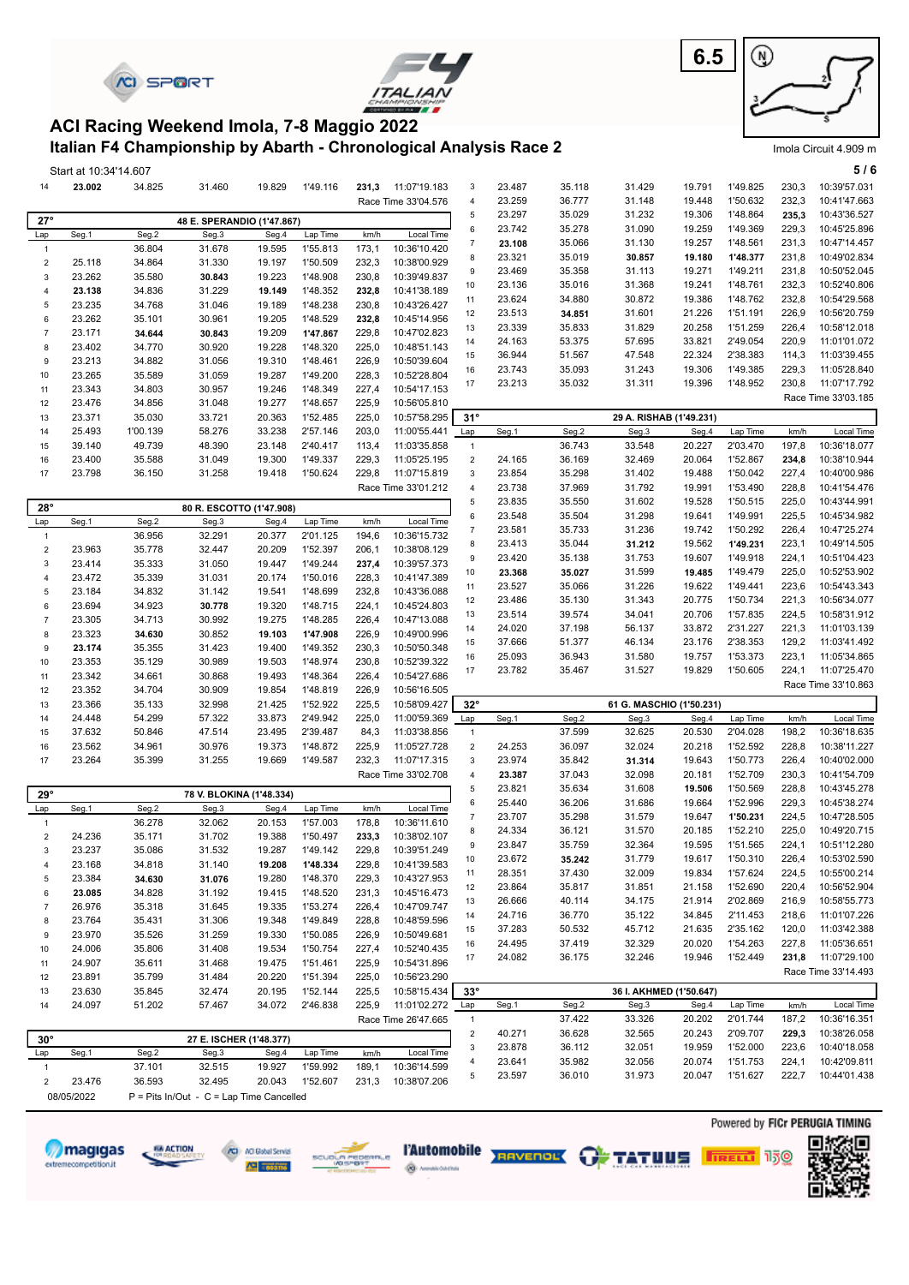| <b>SPORT</b> |
|--------------|
|--------------|





Imola Circuit 4.909 m

#### **Italian F4 Championship by Abarth - Chronological Analysis Race 2 ACI Racing Weekend Imola, 7-8 Maggio 2022**

|                  | Start at 10:34'14.607 |          |                            |        |                      |       |                            |                  |        |        |                          |                         |          |       | 5/6                 |
|------------------|-----------------------|----------|----------------------------|--------|----------------------|-------|----------------------------|------------------|--------|--------|--------------------------|-------------------------|----------|-------|---------------------|
| 14               | 23.002                | 34.825   | 31.460                     | 19.829 | 1'49.116             | 231,3 | 11:07'19.183               | 3                | 23.487 | 35.118 | 31.429                   | 19.791                  | 1'49.825 | 230,3 | 10:39'57.031        |
|                  |                       |          |                            |        |                      |       | Race Time 33'04.576        | $\overline{4}$   | 23.259 | 36.777 | 31.148                   | 19.448                  | 1'50.632 | 232,3 | 10:41'47.663        |
| $27^\circ$       |                       |          |                            |        |                      |       |                            | 5                | 23.297 | 35.029 | 31.232                   | 19.306                  | 1'48.864 | 235,3 | 10:43'36.527        |
|                  |                       | Seg.2    | 48 E. SPERANDIO (1'47.867) |        | Lap Time             |       |                            | $\,6\,$          | 23.742 | 35.278 | 31.090                   | 19.259                  | 1'49.369 | 229,3 | 10:45'25.896        |
| Lap              | Seg.1                 |          | Seg.3                      | Seg.4  |                      | km/h  | Local Time<br>10:36'10.420 | $\overline{7}$   | 23.108 | 35.066 | 31.130                   | 19.257                  | 1'48.561 | 231,3 | 10:47'14.457        |
| $\mathbf{1}$     |                       | 36.804   | 31.678                     | 19.595 | 1'55.813             | 173,1 |                            | 8                | 23.321 | 35.019 | 30.857                   | 19.180                  | 1'48.377 | 231,8 | 10:49'02.834        |
| $\sqrt{2}$       | 25.118                | 34.864   | 31.330                     | 19.197 | 1'50.509<br>1'48.908 | 232,3 | 10:38'00.929               | 9                | 23.469 | 35.358 | 31.113                   | 19.271                  | 1'49.211 | 231,8 | 10:50'52.045        |
| $\mathsf 3$      | 23.262                | 35.580   | 30.843                     | 19.223 |                      | 230,8 | 10:39'49.837               | 10               | 23.136 | 35.016 | 31.368                   | 19.241                  | 1'48.761 | 232,3 | 10:52'40.806        |
| $\overline{4}$   | 23.138                | 34.836   | 31.229                     | 19.149 | 1'48.352             | 232,8 | 10:41'38.189               | 11               | 23.624 | 34.880 | 30.872                   | 19.386                  | 1'48.762 | 232,8 | 10:54'29.568        |
| $\sqrt{5}$       | 23.235                | 34.768   | 31.046                     | 19.189 | 1'48.238<br>1'48.529 | 230,8 | 10:43'26.427               | 12               | 23.513 | 34.851 | 31.601                   | 21.226                  | 1'51.191 | 226,9 | 10:56'20.759        |
| $\,6\,$          | 23.262                | 35.101   | 30.961                     | 19.205 |                      | 232,8 | 10:45'14.956               | 13               | 23.339 | 35.833 | 31.829                   | 20.258                  | 1'51.259 | 226,4 | 10:58'12.018        |
| $\overline{7}$   | 23.171                | 34.644   | 30.843                     | 19.209 | 1'47.867             | 229,8 | 10:47'02.823               | 14               | 24.163 | 53.375 | 57.695                   | 33.821                  | 2'49.054 | 220,9 | 11:01'01.072        |
| 8                | 23.402                | 34.770   | 30.920                     | 19.228 | 1'48.320             | 225,0 | 10:48'51.143               | 15               | 36.944 | 51.567 | 47.548                   | 22.324                  | 2'38.383 | 114,3 | 11:03'39.455        |
| 9                | 23.213                | 34.882   | 31.056                     | 19.310 | 1'48.461             | 226,9 | 10:50'39.604               | 16               | 23.743 | 35.093 | 31.243                   | 19.306                  | 1'49.385 | 229,3 | 11:05'28.840        |
| 10               | 23.265                | 35.589   | 31.059                     | 19.287 | 1'49.200             | 228,3 | 10:52'28.804               | 17               | 23.213 | 35.032 | 31.311                   | 19.396                  | 1'48.952 | 230,8 | 11:07'17.792        |
| 11               | 23.343                | 34.803   | 30.957                     | 19.246 | 1'48.349             | 227,4 | 10:54'17.153               |                  |        |        |                          |                         |          |       | Race Time 33'03.185 |
| 12               | 23.476                | 34.856   | 31.048                     | 19.277 | 1'48.657             | 225,9 | 10:56'05.810               |                  |        |        |                          |                         |          |       |                     |
| 13               | 23.371                | 35.030   | 33.721                     | 20.363 | 1'52.485             | 225,0 | 10:57'58.295               | $31^\circ$       |        |        |                          | 29 A. RISHAB (1'49.231) |          |       |                     |
| 14               | 25.493                | 1'00.139 | 58.276                     | 33.238 | 2'57.146             | 203,0 | 11:00'55.441               | Lap              | Seg.1  | Seg.2  | Seg.3                    | Seg.4                   | Lap Time | km/h  | Local Time          |
| 15               | 39.140                | 49.739   | 48.390                     | 23.148 | 2'40.417             | 113,4 | 11:03'35.858               | $\mathbf{1}$     |        | 36.743 | 33.548                   | 20.227                  | 2'03.470 | 197,8 | 10:36'18.077        |
| 16               | 23.400                | 35.588   | 31.049                     | 19.300 | 1'49.337             | 229,3 | 11:05'25.195               | $\mathbf 2$      | 24.165 | 36.169 | 32.469                   | 20.064                  | 1'52.867 | 234,8 | 10:38'10.944        |
| 17               | 23.798                | 36.150   | 31.258                     | 19.418 | 1'50.624             | 229,8 | 11:07'15.819               | 3                | 23.854 | 35.298 | 31.402                   | 19.488                  | 1'50.042 | 227,4 | 10:40'00.986        |
|                  |                       |          |                            |        |                      |       | Race Time 33'01.212        | $\overline{4}$   | 23.738 | 37.969 | 31.792                   | 19.991                  | 1'53.490 | 228,8 | 10:41'54.476        |
| $28^\circ$       |                       |          | 80 R. ESCOTTO (1'47.908)   |        |                      |       |                            | $\sqrt{5}$       | 23.835 | 35.550 | 31.602                   | 19.528                  | 1'50.515 | 225,0 | 10:43'44.991        |
| Lap              | Seg.1                 | Seg.2    | Seg.3                      | Seg.4  | Lap Time             | km/h  | Local Time                 | $\,6\,$          | 23.548 | 35.504 | 31.298                   | 19.641                  | 1'49.991 | 225,5 | 10:45'34.982        |
| $\mathbf{1}$     |                       | 36.956   | 32.291                     | 20.377 | 2'01.125             | 194,6 | 10:36'15.732               | $\boldsymbol{7}$ | 23.581 | 35.733 | 31.236                   | 19.742                  | 1'50.292 | 226,4 | 10:47'25.274        |
| $\sqrt{2}$       | 23.963                | 35.778   | 32.447                     | 20.209 | 1'52.397             | 206,1 | 10:38'08.129               | 8                | 23.413 | 35.044 | 31.212                   | 19.562                  | 1'49.231 | 223,1 | 10:49'14.505        |
| $\mathbf{3}$     | 23.414                | 35.333   | 31.050                     | 19.447 | 1'49.244             | 237,4 | 10:39'57.373               | 9                | 23.420 | 35.138 | 31.753                   | 19.607                  | 1'49.918 | 224,1 | 10:51'04.423        |
| $\overline{4}$   | 23.472                | 35.339   | 31.031                     | 20.174 | 1'50.016             | 228,3 | 10:41'47.389               | 10               | 23.368 | 35.027 | 31.599                   | 19.485                  | 1'49.479 | 225,0 | 10:52'53.902        |
| $\sqrt{5}$       | 23.184                | 34.832   | 31.142                     | 19.541 | 1'48.699             | 232,8 | 10:43'36.088               | 11               | 23.527 | 35.066 | 31.226                   | 19.622                  | 1'49.441 | 223,6 | 10:54'43.343        |
| 6                | 23.694                | 34.923   | 30.778                     | 19.320 | 1'48.715             | 224,1 | 10:45'24.803               | 12               | 23.486 | 35.130 | 31.343                   | 20.775                  | 1'50.734 | 221,3 | 10:56'34.077        |
| $\overline{7}$   | 23.305                | 34.713   | 30.992                     | 19.275 | 1'48.285             | 226,4 | 10:47'13.088               | 13               | 23.514 | 39.574 | 34.041                   | 20.706                  | 1'57.835 | 224,5 | 10:58'31.912        |
| 8                | 23.323                | 34.630   | 30.852                     | 19.103 | 1'47.908             | 226,9 | 10:49'00.996               | 14               | 24.020 | 37.198 | 56.137                   | 33.872                  | 2'31.227 | 221,3 | 11:01'03.139        |
| 9                | 23.174                | 35.355   | 31.423                     | 19.400 | 1'49.352             | 230,3 | 10:50'50.348               | 15               | 37.666 | 51.377 | 46.134                   | 23.176                  | 2'38.353 | 129,2 | 11:03'41.492        |
| 10               | 23.353                | 35.129   | 30.989                     | 19.503 | 1'48.974             | 230,8 | 10:52'39.322               | 16               | 25.093 | 36.943 | 31.580                   | 19.757                  | 1'53.373 | 223,1 | 11:05'34.865        |
| 11               | 23.342                | 34.661   | 30.868                     | 19.493 | 1'48.364             | 226,4 | 10:54'27.686               | 17               | 23.782 | 35.467 | 31.527                   | 19.829                  | 1'50.605 | 224,1 | 11:07'25.470        |
| 12               | 23.352                | 34.704   | 30.909                     | 19.854 | 1'48.819             | 226,9 | 10:56'16.505               |                  |        |        |                          |                         |          |       | Race Time 33'10.863 |
| 13               | 23.366                | 35.133   | 32.998                     | 21.425 | 1'52.922             | 225,5 | 10:58'09.427               | $32^\circ$       |        |        | 61 G. MASCHIO (1'50.231) |                         |          |       |                     |
| 14               | 24.448                | 54.299   | 57.322                     | 33.873 | 2'49.942             | 225,0 | 11:00'59.369               | Lap              | Seg.1  | Seg.2  | Seg.3                    | Seg.4                   | Lap Time | km/h  | Local Time          |
| 15               | 37.632                | 50.846   | 47.514                     | 23.495 | 2'39.487             | 84,3  | 11:03'38.856               | $\mathbf{1}$     |        | 37.599 | 32.625                   | 20.530                  | 2'04.028 | 198,2 | 10:36'18.635        |
| 16               | 23.562                | 34.961   | 30.976                     | 19.373 | 1'48.872             | 225,9 | 11:05'27.728               | $\overline{2}$   | 24.253 | 36.097 | 32.024                   | 20.218                  | 1'52.592 | 228,8 | 10:38'11.227        |
| 17               | 23.264                | 35.399   | 31.255                     | 19.669 | 1'49.587             | 232,3 | 11:07'17.315               | 3                | 23.974 | 35.842 | 31.314                   | 19.643                  | 1'50.773 | 226,4 | 10:40'02.000        |
|                  |                       |          |                            |        |                      |       | Race Time 33'02.708        | $\overline{4}$   | 23.387 | 37.043 | 32.098                   | 20.181                  | 1'52.709 | 230,3 | 10:41'54.709        |
|                  |                       |          |                            |        |                      |       |                            | 5                | 23.821 | 35.634 | 31.608                   | 19.506                  | 1'50.569 | 228,8 | 10:43'45.278        |
| $29^\circ$       |                       |          | 78 V. BLOKINA (1'48.334)   |        |                      |       |                            | 6                | 25.440 | 36.206 | 31.686                   | 19.664                  | 1'52.996 | 229,3 | 10:45'38.274        |
| Lap              | Seg.1                 | Seg.2    | Seg.3                      | Seg.4  | Lap Time             | km/h  | Local Time                 | $\overline{7}$   | 23.707 | 35.298 | 31.579                   | 19.647                  | 1'50.231 | 224,5 | 10:47'28.505        |
| $\mathbf{1}$     |                       | 36.278   | 32.062                     | 20.153 | 1'57.003             | 178,8 | 10:36'11.610               | 8                | 24.334 | 36.121 | 31.570                   | 20.185                  | 1'52.210 | 225,0 | 10:49'20.715        |
| $\sqrt{2}$       | 24.236                | 35.171   | 31.702                     | 19.388 | 1'50.497             | 233,3 | 10:38'02.107               | 9                | 23.847 | 35.759 | 32.364                   | 19.595                  | 1'51.565 | 224,1 | 10:51'12.280        |
| 3                | 23.237                | 35.086   | 31.532                     | 19.287 | 1'49.142             | 229,8 | 10:39'51.249               | 10               | 23.672 | 35.242 | 31.779                   | 19.617                  | 1'50.310 | 226,4 | 10:53'02.590        |
| $\overline{4}$   |                       |          |                            |        |                      | 229,8 | 10:41'39.583               |                  |        |        |                          | 19.834                  | 1'57.624 | 224,5 | 10:55'00.214        |
|                  | 23.168                | 34.818   | 31.140                     | 19.208 | 1'48.334             |       |                            |                  |        |        |                          |                         |          |       | 10:56'52.904        |
| $\sqrt{5}$       | 23.384                | 34.630   | 31.076                     | 19.280 | 1'48.370             | 229,3 | 10:43'27.953               | 11               | 28.351 | 37.430 | 32.009                   |                         |          |       |                     |
| 6                | 23.085                | 34.828   | 31.192                     | 19.415 | 1'48.520             | 231,3 | 10:45'16.473               | 12               | 23.864 | 35.817 | 31.851                   | 21.158                  | 1'52.690 | 220,4 |                     |
| $\overline{7}$   | 26.976                | 35.318   | 31.645                     | 19.335 | 1'53.274             | 226,4 | 10:47'09.747               | 13               | 26.666 | 40.114 | 34.175                   | 21.914                  | 2'02.869 | 216,9 | 10:58'55.773        |
| 8                | 23.764                | 35.431   | 31.306                     | 19.348 | 1'49.849             | 228,8 | 10:48'59.596               | 14               | 24.716 | 36.770 | 35.122                   | 34.845                  | 2'11.453 | 218,6 | 11:01'07.226        |
| $\boldsymbol{9}$ | 23.970                | 35.526   | 31.259                     | 19.330 | 1'50.085             | 226,9 | 10:50'49.681               | 15               | 37.283 | 50.532 | 45.712                   | 21.635                  | 2'35.162 | 120,0 | 11:03'42.388        |
| 10               | 24.006                | 35.806   | 31.408                     | 19.534 | 1'50.754             | 227,4 | 10:52'40.435               | 16               | 24.495 | 37.419 | 32.329                   | 20.020                  | 1'54.263 | 227,8 | 11:05'36.651        |
| 11               | 24.907                | 35.611   | 31.468                     | 19.475 | 1'51.461             | 225,9 | 10:54'31.896               | 17               | 24.082 | 36.175 | 32.246                   | 19.946                  | 1'52.449 | 231,8 | 11:07'29.100        |
| 12               | 23.891                | 35.799   | 31.484                     | 20.220 | 1'51.394             | 225,0 | 10:56'23.290               |                  |        |        |                          |                         |          |       | Race Time 33'14.493 |
| 13               | 23.630                | 35.845   | 32.474                     | 20.195 | 1'52.144             | 225,5 | 10:58'15.434               | $33^\circ$       |        |        |                          | 36 I. AKHMED (1'50.647) |          |       |                     |
| 14               | 24.097                | 51.202   | 57.467                     | 34.072 | 2'46.838             | 225,9 | 11:01'02.272               | Lap              | Seg.1  | Seg.2  | Seg.3                    | Seg.4                   | Lap Time | km/h  | Local Time          |
|                  |                       |          |                            |        |                      |       | Race Time 26'47.665        | $\mathbf{1}$     |        | 37.422 | 33.326                   | 20.202                  | 2'01.744 | 187,2 | 10:36'16.351        |
| $30^{\circ}$     |                       |          | 27 E. ISCHER (1'48.377)    |        |                      |       |                            | $\sqrt{2}$       | 40.271 | 36.628 | 32.565                   | 20.243                  | 2'09.707 | 229,3 | 10:38'26.058        |
| Lap              | Seg.1                 | Seg.2    | Seg.3                      | Seg.4  | Lap Time             | km/h  | Local Time                 | 3                | 23.878 | 36.112 | 32.051                   | 19.959                  | 1'52.000 | 223,6 | 10:40'18.058        |
| $\mathbf{1}$     |                       | 37.101   | 32.515                     | 19.927 | 1'59.992             | 189,1 | 10:36'14.599               | 4                | 23.641 | 35.982 | 32.056                   | 20.074                  | 1'51.753 | 224,1 | 10:42'09.811        |
| $\overline{2}$   | 23.476                | 36.593   | 32.495                     | 20.043 | 1'52.607             | 231,3 | 10:38'07.206               | 5                | 23.597 | 36.010 | 31.973                   | 20.047                  | 1'51.627 | 222,7 | 10:44'01.438        |













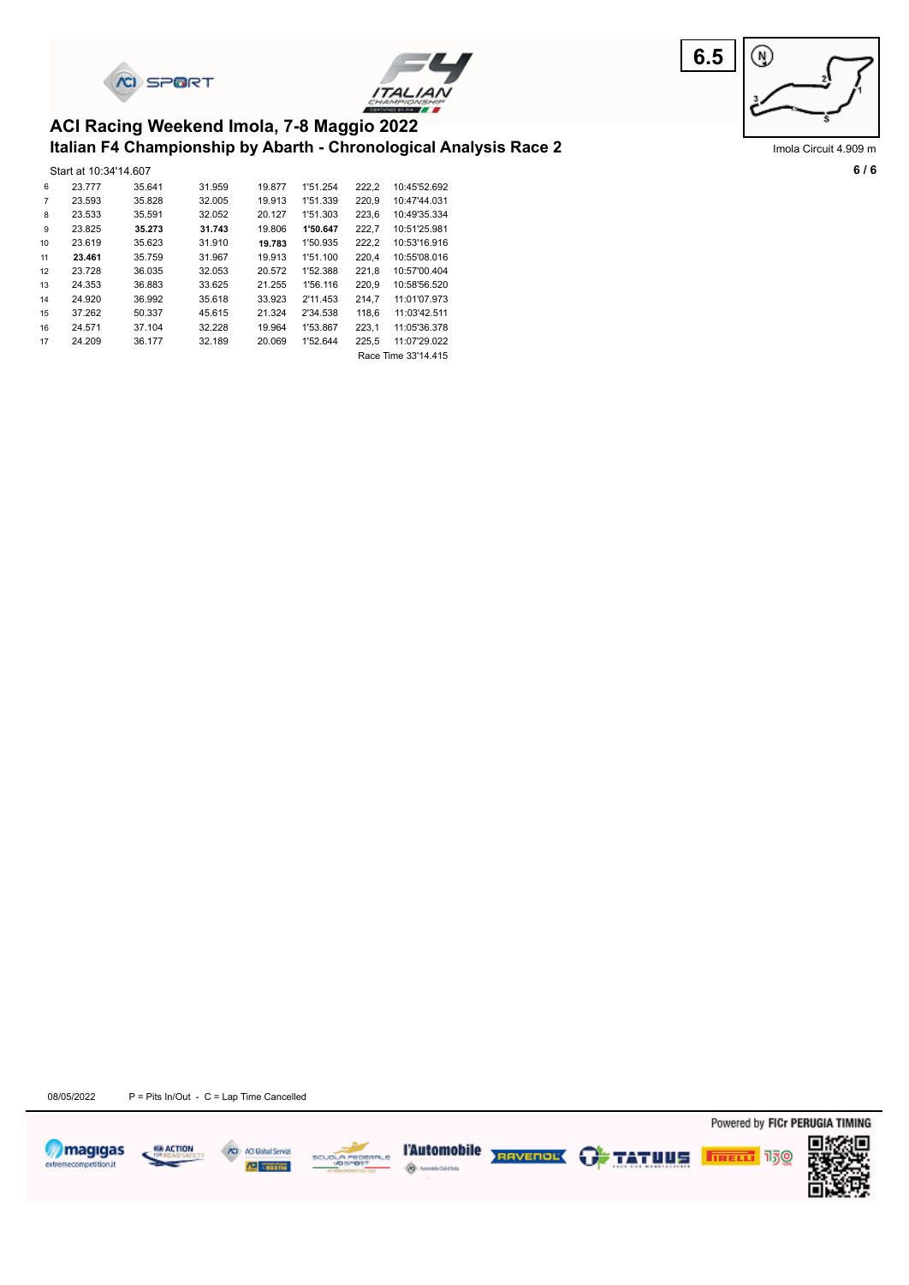





Imola Circuit 4.909 m

#### **Italian F4 Championship by Abarth - Chronological Analysis Race 2 ACI Racing Weekend Imola, 7-8 Maggio 2022**

|    | Start at 10:34'14.607 |        |        |        |          |       |                     |
|----|-----------------------|--------|--------|--------|----------|-------|---------------------|
| 6  | 23.777                | 35.641 | 31.959 | 19,877 | 1'51.254 | 222,2 | 10:45'52.692        |
| 7  | 23.593                | 35.828 | 32.005 | 19.913 | 1'51.339 | 220,9 | 10:47'44.031        |
| 8  | 23.533                | 35.591 | 32.052 | 20.127 | 1'51.303 | 223,6 | 10:49'35.334        |
| 9  | 23.825                | 35.273 | 31.743 | 19.806 | 1'50.647 | 222,7 | 10:51'25.981        |
| 10 | 23.619                | 35.623 | 31.910 | 19.783 | 1'50.935 | 222,2 | 10:53'16.916        |
| 11 | 23.461                | 35.759 | 31.967 | 19.913 | 1'51.100 | 220,4 | 10:55'08.016        |
| 12 | 23.728                | 36.035 | 32.053 | 20.572 | 1'52.388 | 221,8 | 10:57'00.404        |
| 13 | 24.353                | 36.883 | 33.625 | 21.255 | 1'56.116 | 220,9 | 10:58'56.520        |
| 14 | 24.920                | 36.992 | 35.618 | 33.923 | 2'11.453 | 214,7 | 11:01'07.973        |
| 15 | 37.262                | 50.337 | 45.615 | 21.324 | 2'34.538 | 118,6 | 11:03'42.511        |
| 16 | 24.571                | 37.104 | 32.228 | 19.964 | 1'53.867 | 223,1 | 11:05'36.378        |
| 17 | 24.209                | 36.177 | 32.189 | 20.069 | 1'52.644 | 225,5 | 11:07'29.022        |
|    |                       |        |        |        |          |       | Race Time 33'14.415 |

08/05/2022 P = Pits In/Out - C = Lap Time Cancelled









Powered by FICr PERUGIA TIMING

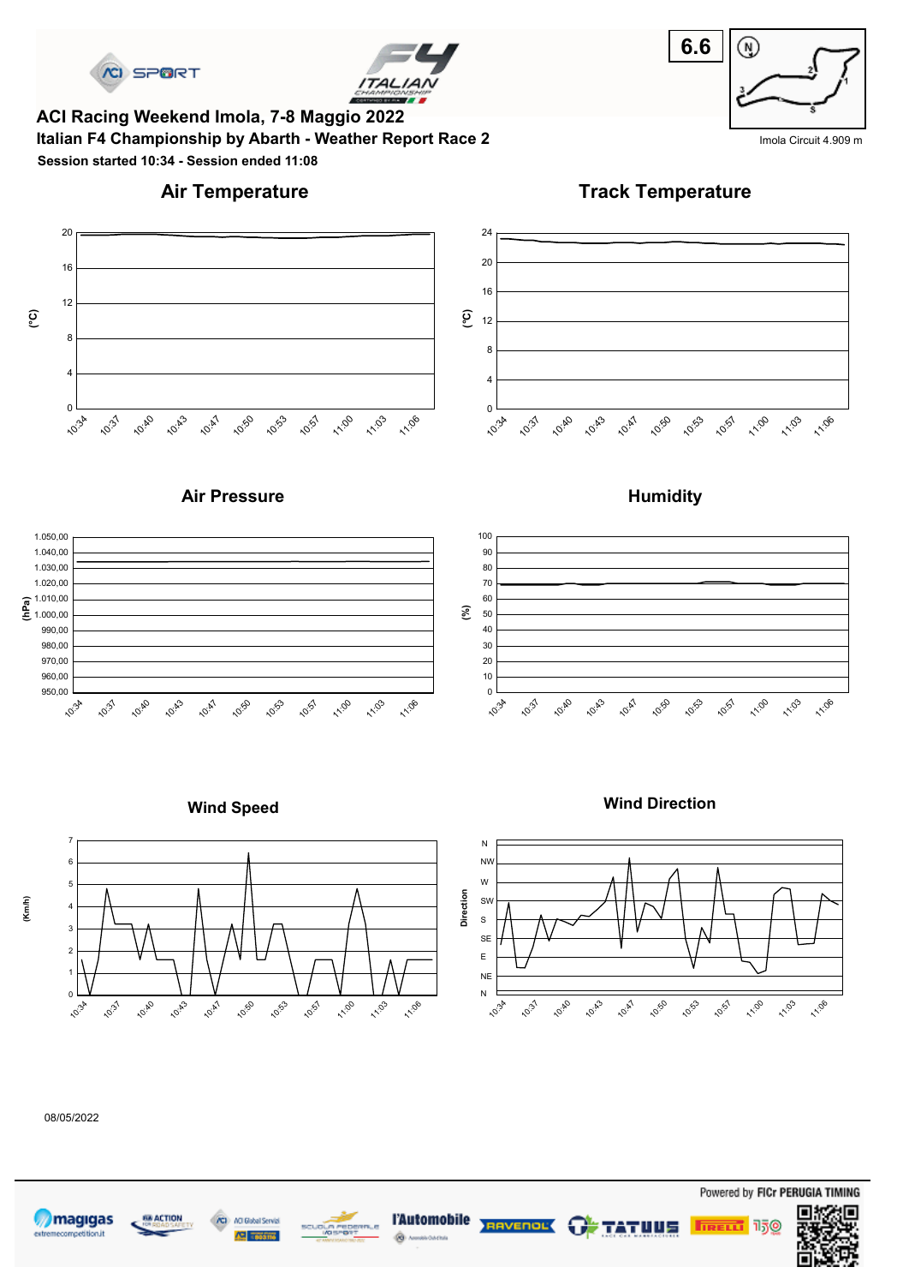



**Italian F4 Championship by Abarth - Weather Report Race 2** India Clicuit 4.909 m **ACI Racing Weekend Imola, 7-8 Maggio 2022 Session started 10:34 - Session ended 11:08**

# **6.6** ⊛

## **Air Temperature**

**Track Temperature**



#### **Air Pressure**



#### **Wind Speed**





#### 08/05/2022









1.100

11:03

11:06



#### **Humidity**

**Wind Direction**